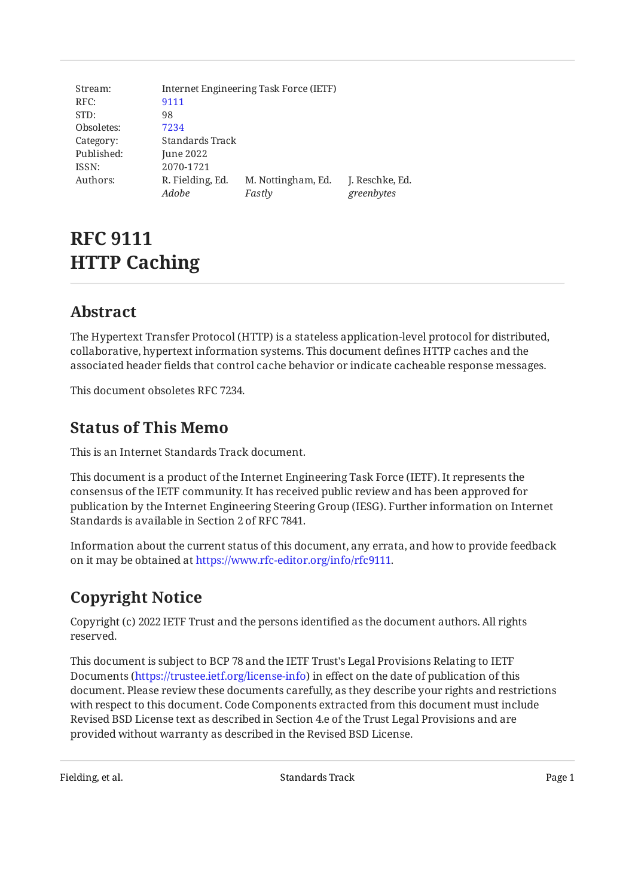| Stream:    | Internet Engineering Task Force (IETF) |                    |                 |  |  |
|------------|----------------------------------------|--------------------|-----------------|--|--|
| RFC:       | 9111                                   |                    |                 |  |  |
| STD:       | 98                                     |                    |                 |  |  |
| Obsoletes: | 7234                                   |                    |                 |  |  |
| Category:  | Standards Track                        |                    |                 |  |  |
| Published: | June 2022                              |                    |                 |  |  |
| ISSN:      | 2070-1721                              |                    |                 |  |  |
| Authors:   | R. Fielding, Ed.                       | M. Nottingham, Ed. | J. Reschke, Ed. |  |  |
|            | Adobe                                  | Fastly             | greenbytes      |  |  |

# **RFC 9111 HTTP Caching**

# <span id="page-0-0"></span>**[Abstract](#page-0-0)**

The Hypertext Transfer Protocol (HTTP) is a stateless application-level protocol for distributed, collaborative, hypertext information systems. This document defines HTTP caches and the associated header fields that control cache behavior or indicate cacheable response messages.

<span id="page-0-1"></span>This document obsoletes RFC 7234.

# **[Status of This Memo](#page-0-1)**

This is an Internet Standards Track document.

This document is a product of the Internet Engineering Task Force (IETF). It represents the consensus of the IETF community. It has received public review and has been approved for publication by the Internet Engineering Steering Group (IESG). Further information on Internet Standards is available in Section 2 of RFC 7841.

Information about the current status of this document, any errata, and how to provide feedback on it may be obtained at [https://www.rfc-editor.org/info/rfc9111.](https://www.rfc-editor.org/info/rfc9111)

# <span id="page-0-2"></span>**[Copyright Notice](#page-0-2)**

Copyright (c) 2022 IETF Trust and the persons identified as the document authors. All rights reserved.

This document is subject to BCP 78 and the IETF Trust's Legal Provisions Relating to IETF Documents (<https://trustee.ietf.org/license-info>) in effect on the date of publication of this document. Please review these documents carefully, as they describe your rights and restrictions with respect to this document. Code Components extracted from this document must include Revised BSD License text as described in Section 4.e of the Trust Legal Provisions and are provided without warranty as described in the Revised BSD License.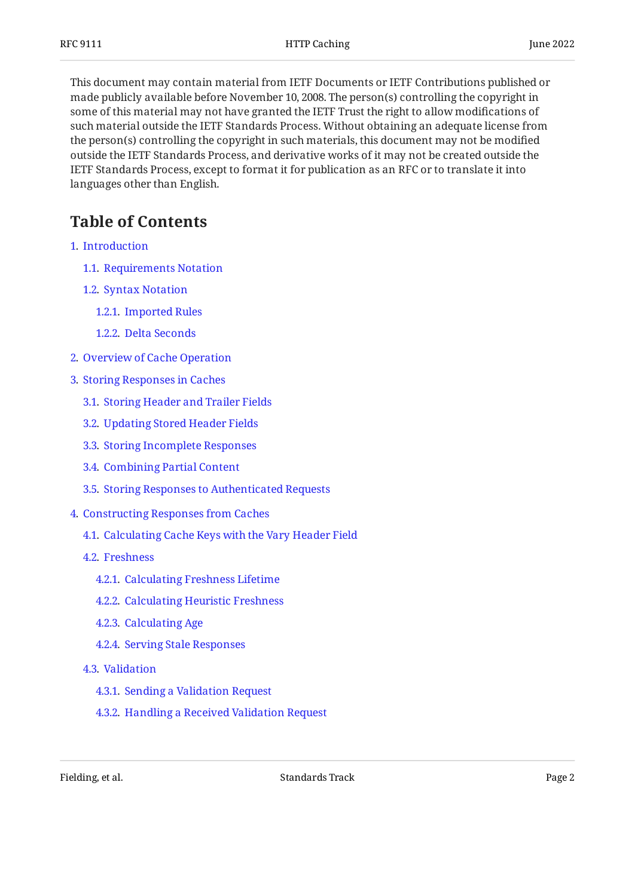This document may contain material from IETF Documents or IETF Contributions published or made publicly available before November 10, 2008. The person(s) controlling the copyright in some of this material may not have granted the IETF Trust the right to allow modifications of such material outside the IETF Standards Process. Without obtaining an adequate license from the person(s) controlling the copyright in such materials, this document may not be modified outside the IETF Standards Process, and derivative works of it may not be created outside the IETF Standards Process, except to format it for publication as an RFC or to translate it into languages other than English.

# <span id="page-1-0"></span>**[Table of Contents](#page-1-0)**

- [1](#page-3-0). [Introduction](#page-3-0)
	- [1.1.](#page-4-0) [Requirements Notation](#page-4-0)
	- [1.2.](#page-4-1) [Syntax Notation](#page-4-1)
		- [1.2.1](#page-4-2). [Imported Rules](#page-4-2)
		- [1.2.2](#page-5-0). [Delta Seconds](#page-5-0)
- [2](#page-5-1). [Overview of Cache Operation](#page-5-1)
- [3](#page-6-0). [Storing Responses in Caches](#page-6-0)
	- [3.1.](#page-7-0) [Storing Header and Trailer Fields](#page-7-0)
	- [3.2.](#page-7-1) [Updating Stored Header Fields](#page-7-1)
	- [3.3.](#page-8-0) [Storing Incomplete Responses](#page-8-0)
	- [3.4.](#page-8-1) [Combining Partial Content](#page-8-1)
	- [3.5.](#page-9-0) [Storing Responses to Authenticated Requests](#page-9-0)
- [4](#page-9-1). [Constructing Responses from Caches](#page-9-1)
	- [4.1.](#page-10-0) [Calculating Cache Keys with the Vary Header Field](#page-10-0)
	- [4.2.](#page-10-1) [Freshness](#page-10-1)
		- [4.2.1](#page-12-0). [Calculating Freshness Lifetime](#page-12-0)
		- [4.2.2](#page-12-1). [Calculating Heuristic Freshness](#page-12-1)
		- [4.2.3](#page-13-0). [Calculating Age](#page-13-0)
		- [4.2.4](#page-14-0). [Serving Stale Responses](#page-14-0)
	- [4.3.](#page-14-1) [Validation](#page-14-1)
		- [4.3.1](#page-14-2). [Sending a Validation Request](#page-14-2)
		- [4.3.2](#page-15-0). [Handling a Received Validation Request](#page-15-0)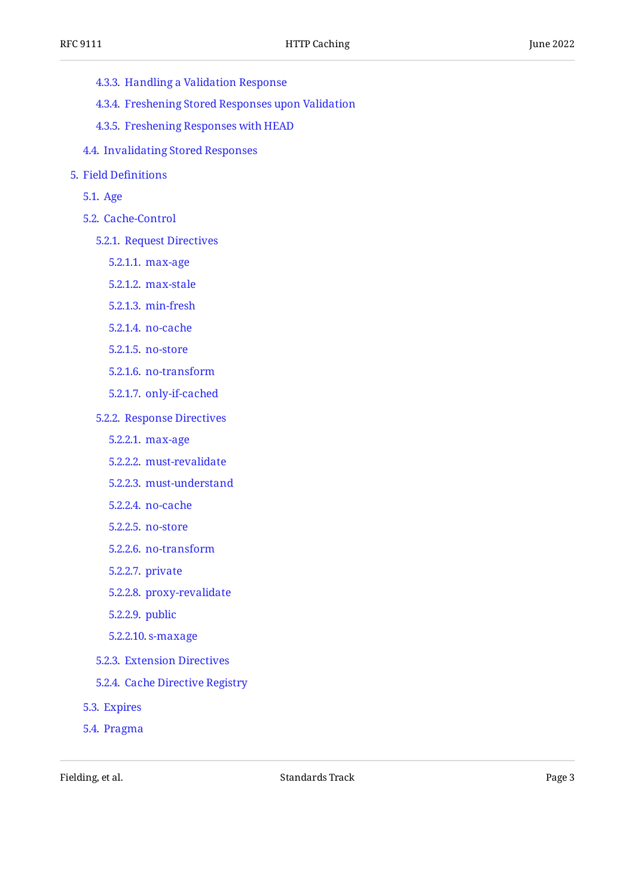- [4.3.3](#page-16-0). [Handling a Validation Response](#page-16-0)
- [4.3.4](#page-17-0). [Freshening Stored Responses upon Validation](#page-17-0)
- [4.3.5](#page-17-1). [Freshening Responses with HEAD](#page-17-1)
- [4.4.](#page-18-0) [Invalidating Stored Responses](#page-18-0)
- [5](#page-18-1). [Field De](#page-18-1)finitions
	- [5.1.](#page-18-2) [Age](#page-18-2)
	- [5.2.](#page-19-0) [Cache-Control](#page-19-0)
		- [5.2.1](#page-19-1). [Request Directives](#page-19-1)
			- [5.2.1.1.](#page-19-2) [max-age](#page-19-2)
			- [5.2.1.2.](#page-20-0) [max-stale](#page-20-0)
			- [5.2.1.3.](#page-20-1) [min-fresh](#page-20-1)
			- [5.2.1.4.](#page-20-2) [no-cache](#page-20-2)
			- [5.2.1.5.](#page-20-3) [no-store](#page-20-3)
			- [5.2.1.6.](#page-21-0) [no-transform](#page-21-0)
			- [5.2.1.7.](#page-21-1) [only-if-cached](#page-21-1)
		- [5.2.2](#page-21-2). [Response Directives](#page-21-2)
			- [5.2.2.1.](#page-21-3) [max-age](#page-21-3)
			- [5.2.2.2.](#page-21-4) [must-revalidate](#page-21-4)
			- [5.2.2.3.](#page-22-0) [must-understand](#page-22-0)
			- [5.2.2.4.](#page-22-1) [no-cache](#page-22-1)
			- [5.2.2.5.](#page-22-2) [no-store](#page-22-2)
			- [5.2.2.6.](#page-23-0) [no-transform](#page-23-0)
			- [5.2.2.7.](#page-23-1) [private](#page-23-1)
			- [5.2.2.8.](#page-23-2) [proxy-revalidate](#page-23-2)
			- [5.2.2.9.](#page-24-0) [public](#page-24-0)
			- [5.2.2.10.](#page-24-1) [s-maxage](#page-24-1)
		- [5.2.3](#page-24-2). [Extension Directives](#page-24-2)
		- [5.2.4](#page-25-0). [Cache Directive Registry](#page-25-0)
	- [5.3.](#page-25-1) [Expires](#page-25-1)
	- [5.4.](#page-26-0) [Pragma](#page-26-0)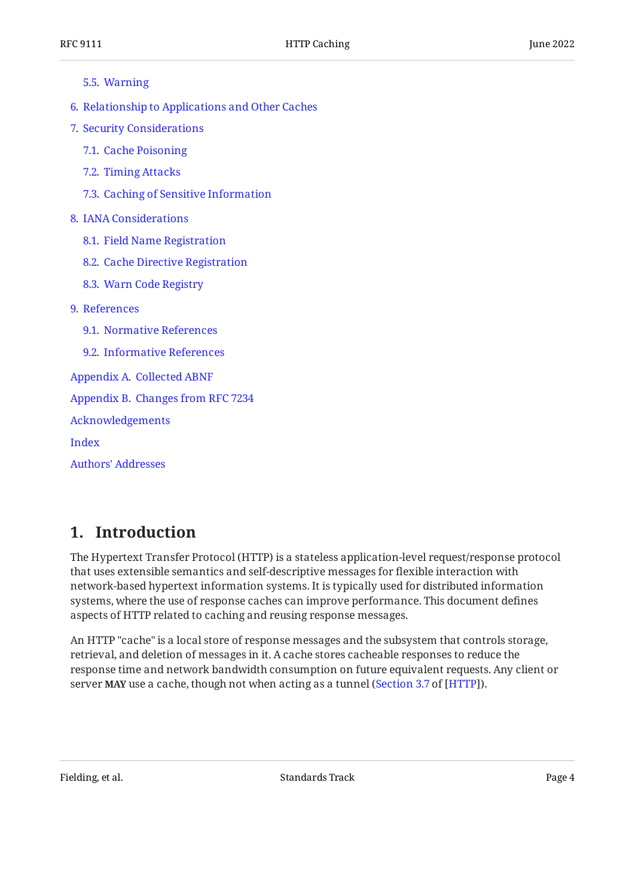#### [5.5.](#page-26-1) [Warning](#page-26-1)

- [6](#page-27-0). [Relationship to Applications and Other Caches](#page-27-0)
- [7](#page-27-1). [Security Considerations](#page-27-1)
	- [7.1.](#page-28-0) [Cache Poisoning](#page-28-0)
	- [7.2.](#page-28-1) [Timing Attacks](#page-28-1)
	- [7.3.](#page-28-2) [Caching of Sensitive Information](#page-28-2)

## [8](#page-28-3). [IANA Considerations](#page-28-3)

- [8.1.](#page-28-4) [Field Name Registration](#page-28-4)
- [8.2.](#page-29-0) [Cache Directive Registration](#page-29-0)
- [8.3.](#page-30-0) [Warn Code Registry](#page-30-0)
- [9](#page-30-1). [References](#page-30-1)
	- [9.1.](#page-30-2) [Normative References](#page-30-2)
	- [9.2.](#page-30-3) [Informative References](#page-30-3)
- [Appendix A.](#page-31-0) [Collected ABNF](#page-31-0)
- [Appendix B.](#page-31-1) [Changes from RFC 7234](#page-31-1)

[Acknowledgements](#page-32-0)

[Index](#page-32-1)

[Authors' Addresses](#page-34-0)

# <span id="page-3-0"></span>**[1. Introduction](#page-3-0)**

The Hypertext Transfer Protocol (HTTP) is a stateless application-level request/response protocol that uses extensible semantics and self-descriptive messages for flexible interaction with network-based hypertext information systems. It is typically used for distributed information systems, where the use of response caches can improve performance. This document defines aspects of HTTP related to caching and reusing response messages.

An HTTP "cache" is a local store of response messages and the subsystem that controls storage, retrieval, and deletion of messages in it. A cache stores cacheable responses to reduce the response time and network bandwidth consumption on future equivalent requests. Any client or server MAY use a cache, though not when acting as a tunnel ([Section 3.7](https://www.rfc-editor.org/rfc/rfc9110#section-3.7) of [[HTTP\]](#page-30-4)).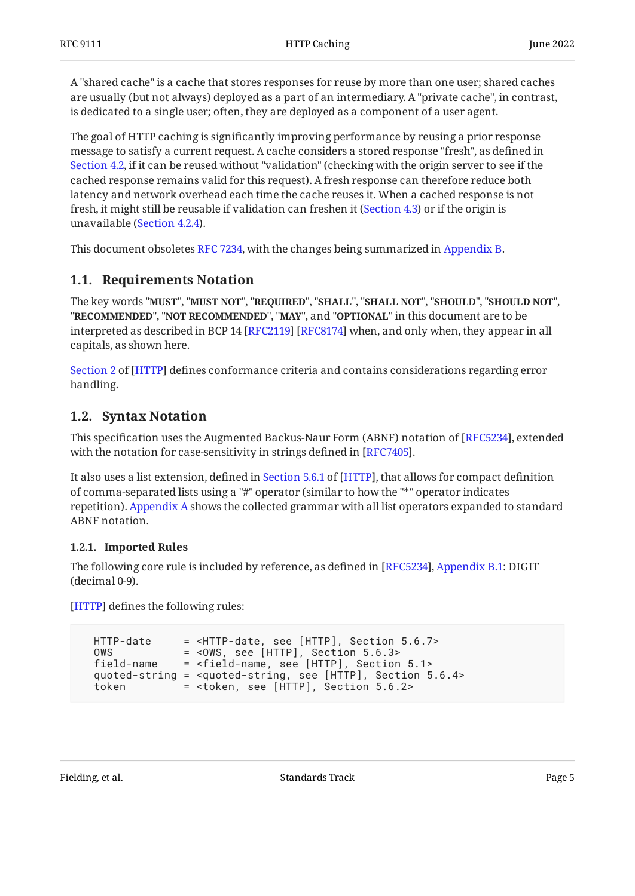A "shared cache" is a cache that stores responses for reuse by more than one user; shared caches are usually (but not always) deployed as a part of an intermediary. A "private cache", in contrast, is dedicated to a single user; often, they are deployed as a component of a user agent.

The goal of HTTP caching is significantly improving performance by reusing a prior response message to satisfy a current request. A cache considers a stored response "fresh", as defined in [Section 4.2](#page-10-1), if it can be reused without "validation" (checking with the origin server to see if the cached response remains valid for this request). A fresh response can therefore reduce both latency and network overhead each time the cache reuses it. When a cached response is not fresh, it might still be reusable if validation can freshen it ([Section 4.3](#page-14-1)) or if the origin is unavailable ([Section 4.2.4\)](#page-14-0).

<span id="page-4-0"></span>This document obsoletes [RFC 7234](#page-31-2), with the changes being summarized in [Appendix B.](#page-31-1)

# **[1.1. Requirements Notation](#page-4-0)**

The key words "MUST", "MUST NOT", "REQUIRED", "SHALL", "SHALL NOT", "SHOULD", "SHOULD NOT", "**RECOMMENDED", "NOT RECOMMENDED", "MAY",** and "OPTIONAL" in this document are to be interpreted as described in BCP 14 [RFC2119] [RFC8174] when, and only when, they appear in all capitals, as shown here.

[Section 2](https://www.rfc-editor.org/rfc/rfc9110#section-2) of [[HTTP\]](#page-30-4) defines conformance criteria and contains considerations regarding error handling.

# <span id="page-4-1"></span>**[1.2. Syntax Notation](#page-4-1)**

This specification uses the Augmented Backus-Naur Form (ABNF) notation of [\[RFC5234](#page-30-7)], extended with the notation for case-sensitivity in strings defined in [RFC7405].

Italso uses a list extension, defined in Section 5.6.1 of [HTTP], that allows for compact definition of comma-separated lists using a "#" operator (similar to how the "\*" operator indicates repetition). [Appendix A](#page-31-0) shows the collected grammar with all list operators expanded to standard ABNF notation.

## <span id="page-4-2"></span>**[1.2.1. Imported Rules](#page-4-2)**

The following core rule is included by reference, as defined in [\[RFC5234](#page-30-7)], [Appendix B.1](https://www.rfc-editor.org/rfc/rfc5234#appendix-B.1): DIGIT (decimal 0-9).

<span id="page-4-3"></span>[[HTTP\]](#page-30-4) defines the following rules:

```
HTTP-date = <HTTP-date, see [HTTP], Section 5.6.7><br>5.6.7<br>1.7= <0WS, see [HTTP], Section 5.6.3>
  field-name = <field-name, see [HTTP], Section 5.1>
 quoted-string = <quoted-string, see [HTTP], Section 5.6.4>
 token = <token, see [HTTP], Section 5.6.2>
```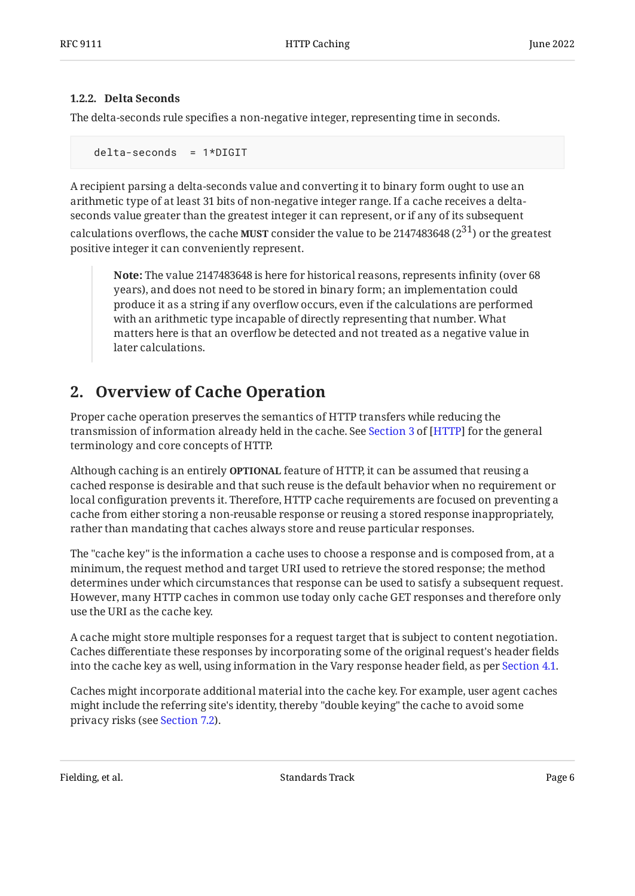## <span id="page-5-0"></span>**[1.2.2. Delta Seconds](#page-5-0)**

The delta-seconds rule specifies a non-negative integer, representing time in seconds.

delta-seconds = 1\*DIGIT

A recipient parsing a delta-seconds value and converting it to binary form ought to use an arithmetic type of at least 31 bits of non-negative integer range. If a cache receives a deltaseconds value greater than the greatest integer it can represent, or if any of its subsequent

calculations overflows, the cache **MUST** consider the value to be 2147483648 (2 $^{31}$ ) or the greatest positive integer it can conveniently represent.

**Note:** The value 2147483648 is here for historical reasons, represents infinity (over 68 years), and does not need to be stored in binary form; an implementation could produce it as a string if any overflow occurs, even if the calculations are performed with an arithmetic type incapable of directly representing that number. What matters here is that an overflow be detected and not treated as a negative value in later calculations.

# <span id="page-5-1"></span>**[2. Overview of Cache Operation](#page-5-1)**

Proper cache operation preserves the semantics of HTTP transfers while reducing the transmissionof information already held in the cache. See Section 3 of [HTTP] for the general terminology and core concepts of HTTP.

Although caching is an entirely **OPTIONAL** feature of HTTP, it can be assumed that reusing a cached response is desirable and that such reuse is the default behavior when no requirement or local configuration prevents it. Therefore, HTTP cache requirements are focused on preventing a cache from either storing a non-reusable response or reusing a stored response inappropriately, rather than mandating that caches always store and reuse particular responses.

The "cache key" is the information a cache uses to choose a response and is composed from, at a minimum, the request method and target URI used to retrieve the stored response; the method determines under which circumstances that response can be used to satisfy a subsequent request. However, many HTTP caches in common use today only cache GET responses and therefore only use the URI as the cache key.

A cache might store multiple responses for a request target that is subject to content negotiation. Caches differentiate these responses by incorporating some of the original request's header fields into the cache key as well, using information in the Vary response header field, as per [Section 4.1](#page-10-0).

Caches might incorporate additional material into the cache key. For example, user agent caches might include the referring site's identity, thereby "double keying" the cache to avoid some privacy risks (see [Section 7.2\)](#page-28-1).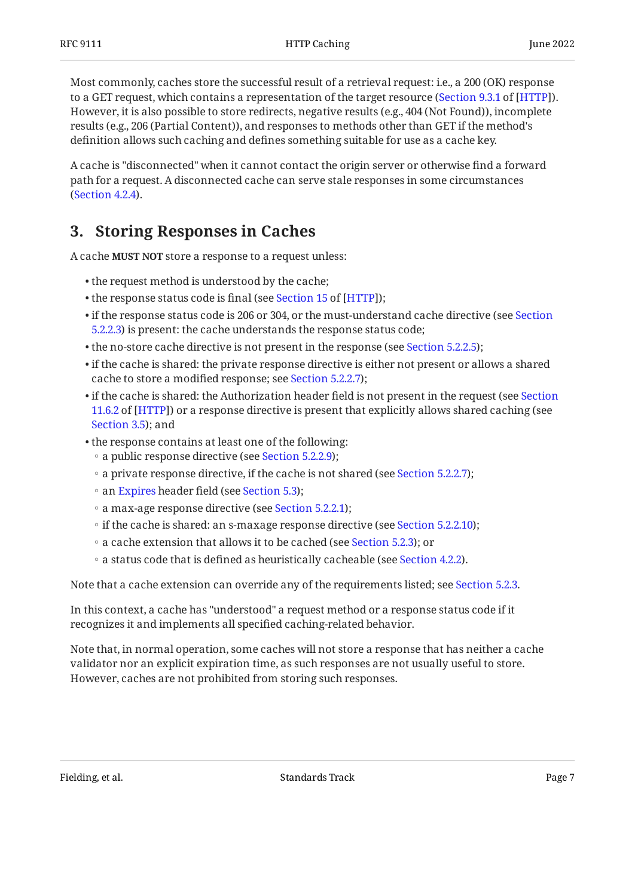Most commonly, caches store the successful result of a retrieval request: i.e., a 200 (OK) response to a GET request, which contains a representation of the target resource ([Section 9.3.1](https://www.rfc-editor.org/rfc/rfc9110#section-9.3.1) of [\[HTTP](#page-30-4)]). However, it is also possible to store redirects, negative results (e.g., 404 (Not Found)), incomplete results (e.g., 206 (Partial Content)), and responses to methods other than GET if the method's definition allows such caching and defines something suitable for use as a cache key.

A cache is "disconnected" when it cannot contact the origin server or otherwise find a forward path for a request. A disconnected cache can serve stale responses in some circumstances ([Section 4.2.4\)](#page-14-0).

# <span id="page-6-0"></span>**[3. Storing Responses in Caches](#page-6-0)**

A cache MUST NOT store a response to a request unless:

- the request method is understood by the cache; •
- $\bullet$ the response status code is final (see Section 15 of [HTTP]);
- $\bullet$  if the response status code is 206 or 304, or the must-understand cache directive (see [Section](#page-22-0) [5.2.2.3\)](#page-22-0) is present: the cache understands the response status code;
- the no-store cache directive is not present in the response (see [Section 5.2.2.5](#page-22-2));
- $\bullet$  if the cache is shared: the private response directive is either not present or allows a shared cache to store a modified response; see [Section 5.2.2.7\)](#page-23-1);
- $\bullet$  if the cache is shared: the Authorization header field is not present in the request (see [Section](https://www.rfc-editor.org/rfc/rfc9110#section-11.6.2) [11.6.2](https://www.rfc-editor.org/rfc/rfc9110#section-11.6.2) of [\[HTTP](#page-30-4)]) or a response directive is present that explicitly allows shared caching (see [Section 3.5](#page-9-0)); and
- the response contains at least one of the following:
	- a public response directive (see [Section 5.2.2.9](#page-24-0));
	- a private response directive, if the cache is not shared (see [Section 5.2.2.7\)](#page-23-1);
	- an [Expires](#page-25-1) header field (see [Section 5.3](#page-25-1));
	- a max-age response directive (see [Section 5.2.2.1](#page-21-3));
	- if the cache is shared: an s-maxage response directive (see [Section 5.2.2.10](#page-24-1));
	- a cache extension that allows it to be cached (see [Section 5.2.3\)](#page-24-2); or
	- a status code that is defined as heuristically cacheable (see [Section 4.2.2\)](#page-12-1).

Note that a cache extension can override any of the requirements listed; see [Section 5.2.3](#page-24-2).

In this context, a cache has "understood" a request method or a response status code if it recognizes it and implements all specified caching-related behavior.

Note that, in normal operation, some caches will not store a response that has neither a cache validator nor an explicit expiration time, as such responses are not usually useful to store. However, caches are not prohibited from storing such responses.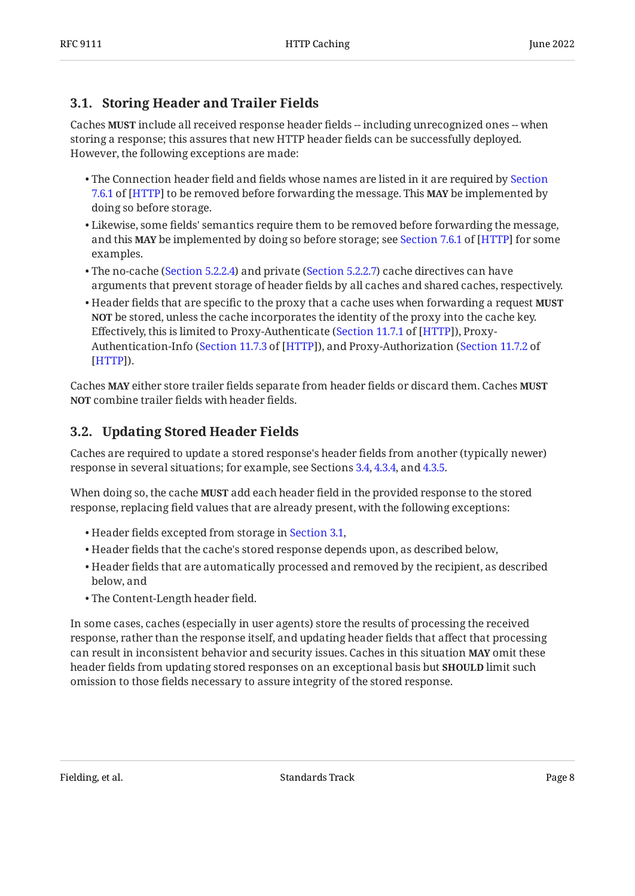# <span id="page-7-0"></span>**[3.1. Storing Header and Trailer Fields](#page-7-0)**

Caches **MUST** include all received response header fields -- including unrecognized ones -- when storing a response; this assures that new HTTP header fields can be successfully deployed. However, the following exceptions are made:

- $\bullet$  The Connection header field and fields whose names are listed in it are required by [Section](https://www.rfc-editor.org/rfc/rfc9110#section-7.6.1) [7.6.1](https://www.rfc-editor.org/rfc/rfc9110#section-7.6.1) of [\[HTTP](#page-30-4)] to be removed before forwarding the message. This **MAY** be implemented by doing so before storage.
- $\bullet$  Likewise, some fields' semantics require them to be removed before forwarding the message, andthis **MAY** be implemented by doing so before storage; see Section 7.6.1 of [HTTP] for some examples.
- The no-cache ([Section 5.2.2.4](#page-22-1)) and private ([Section 5.2.2.7\)](#page-23-1) cache directives can have arguments that prevent storage of header fields by all caches and shared caches, respectively.
- Header fields that are specific to the proxy that a cache uses when forwarding a request **MUST NOT** be stored, unless the cache incorporates the identity of the proxy into the cache key. Effectively, this is limited to Proxy-Authenticate ([Section 11.7.1](https://www.rfc-editor.org/rfc/rfc9110#section-11.7.1) of [\[HTTP](#page-30-4)]), Proxy-Authentication-Info ([Section 11.7.3](https://www.rfc-editor.org/rfc/rfc9110#section-11.7.3) of [\[HTTP](#page-30-4)]), and Proxy-Authorization ([Section 11.7.2](https://www.rfc-editor.org/rfc/rfc9110#section-11.7.2) of ). [[HTTP\]](#page-30-4)

Caches **MAY** either store trailer fields separate from header fields or discard them. Caches **MUST NOT** combine trailer fields with header fields.

# <span id="page-7-1"></span>**[3.2. Updating Stored Header Fields](#page-7-1)**

Caches are required to update a stored response's header fields from another (typically newer) response in several situations; for example, see Sections [3.4,](#page-8-1) [4.3.4](#page-17-0), and [4.3.5.](#page-17-1)

When doing so, the cache **MUST** add each header field in the provided response to the stored response, replacing field values that are already present, with the following exceptions:

- Header fields excepted from storage in [Section 3.1](#page-7-0), •
- Header fields that the cache's stored response depends upon, as described below, •
- $\bullet$  Header fields that are automatically processed and removed by the recipient, as described below, and
- The Content-Length header field. •

In some cases, caches (especially in user agents) store the results of processing the received response, rather than the response itself, and updating header fields that affect that processing can result in inconsistent behavior and security issues. Caches in this situation MAY omit these header fields from updating stored responses on an exceptional basis but **SHOULD** limit such omission to those fields necessary to assure integrity of the stored response.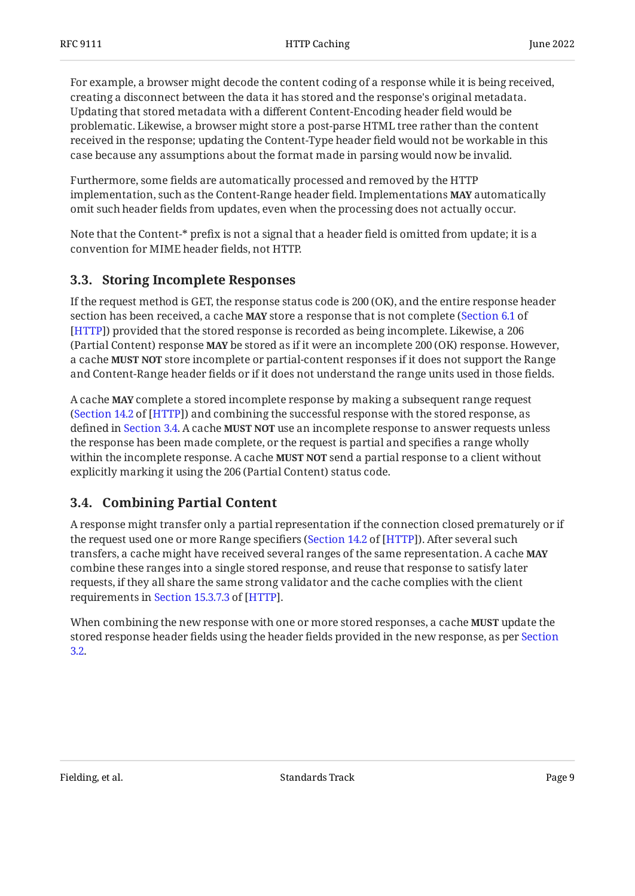For example, a browser might decode the content coding of a response while it is being received, creating a disconnect between the data it has stored and the response's original metadata. Updating that stored metadata with a different Content-Encoding header field would be problematic. Likewise, a browser might store a post-parse HTML tree rather than the content received in the response; updating the Content-Type header field would not be workable in this case because any assumptions about the format made in parsing would now be invalid.

Furthermore, some fields are automatically processed and removed by the HTTP implementation, such as the Content-Range header field. Implementations **MAY** automatically omit such header fields from updates, even when the processing does not actually occur.

Note that the Content-\* prefix is not a signal that a header field is omitted from update; it is a convention for MIME header fields, not HTTP.

# <span id="page-8-0"></span>**[3.3. Storing Incomplete Responses](#page-8-0)**

If the request method is GET, the response status code is 200 (OK), and the entire response header section has been received, a cache **MAY** store a response that is not complete ([Section 6.1](https://www.rfc-editor.org/rfc/rfc9110#section-6.1) of ) provided that the stored response is recorded as being incomplete. Likewise, a 206 [[HTTP\]](#page-30-4) (Partial Content) response MAY be stored as if it were an incomplete 200 (OK) response. However, a cache **MUST NOT** store incomplete or partial-content responses if it does not support the Range and Content-Range header fields or if it does not understand the range units used in those fields.

A cache **MAY** complete a stored incomplete response by making a subsequent range request ([Section 14.2](https://www.rfc-editor.org/rfc/rfc9110#section-14.2) of [\[HTTP](#page-30-4)]) and combining the successful response with the stored response, as defined in [Section 3.4](#page-8-1). A cache **MUST NOT** use an incomplete response to answer requests unless the response has been made complete, or the request is partial and specifies a range wholly within the incomplete response. A cache **MUST NOT** send a partial response to a client without explicitly marking it using the 206 (Partial Content) status code.

# <span id="page-8-1"></span>**[3.4. Combining Partial Content](#page-8-1)**

A response might transfer only a partial representation if the connection closed prematurely or if the request used one or more Range specifiers ([Section 14.2](https://www.rfc-editor.org/rfc/rfc9110#section-14.2) of [\[HTTP](#page-30-4)]). After several such transfers, a cache might have received several ranges of the same representation. A cache **MAY** combine these ranges into a single stored response, and reuse that response to satisfy later requests, if they all share the same strong validator and the cache complies with the client requirementsin Section 15.3.7.3 of [HTTP].

When combining the new response with one or more stored responses, a cache **MUST** update the stored response header fields using the header fields provided in the new response, as per [Section](#page-7-1) [3.2.](#page-7-1)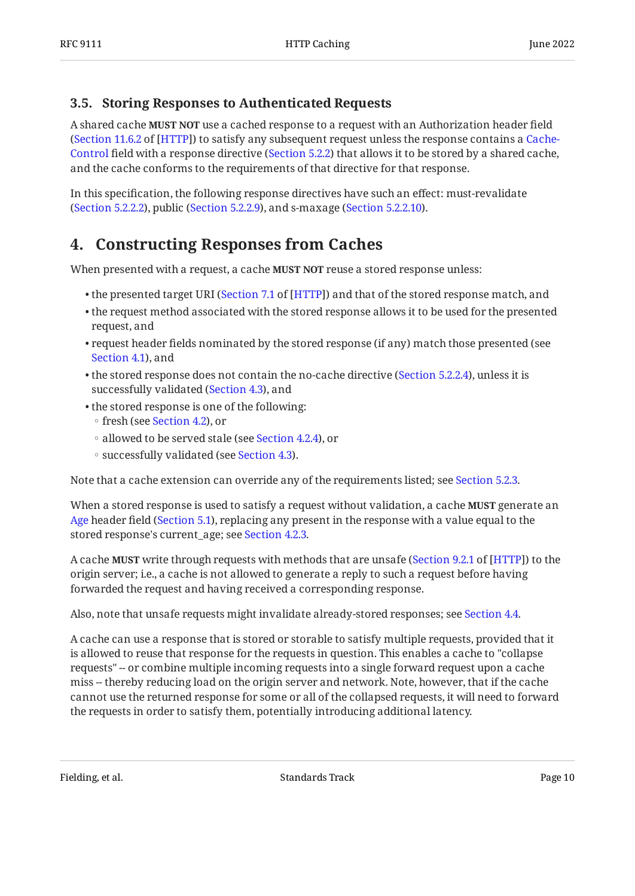# <span id="page-9-0"></span>**[3.5. Storing Responses to Authenticated Requests](#page-9-0)**

A shared cache **MUST NOT** use a cached response to a request with an Authorization header field (Section 11.6.2 of [HTTP]) to satisfy any subsequent request unless the response contains a [Cache-](#page-19-0)[Control](#page-19-0) field with a response directive ([Section 5.2.2\)](#page-21-2) that allows it to be stored by a shared cache, and the cache conforms to the requirements of that directive for that response.

<span id="page-9-1"></span>In this specification, the following response directives have such an effect: must-revalidate ([Section 5.2.2.2\)](#page-21-4), public [\(Section 5.2.2.9](#page-24-0)), and s-maxage ([Section 5.2.2.10](#page-24-1)).

# **[4. Constructing Responses from Caches](#page-9-1)**

When presented with a request, a cache **MUST NOT** reuse a stored response unless:

- $\bullet$  the presented target URI [\(](https://www.rfc-editor.org/rfc/rfc9110#section-7.1)Section 7.1 of [HTTP]) and that of the stored response match, and
- $\bullet$  the request method associated with the stored response allows it to be used for the presented request, and
- $\bullet$  request header fields nominated by the stored response (if any) match those presented (see [Section 4.1](#page-10-0)), and
- $\bullet$  the stored response does not contain the no-cache directive ([Section 5.2.2.4](#page-22-1)), unless it is successfully validated ([Section 4.3](#page-14-1)), and
- the stored response is one of the following:
	- fresh (see [Section 4.2](#page-10-1)), or
	- allowed to be served stale (see [Section 4.2.4\)](#page-14-0), or
	- successfully validated (see [Section 4.3](#page-14-1)).

Note that a cache extension can override any of the requirements listed; see [Section 5.2.3](#page-24-2).

When a stored response is used to satisfy a request without validation, a cache **MUST** generate an **MUST** [Age](#page-18-2) header field ([Section 5.1\)](#page-18-2), replacing any present in the response with a value equal to the stored response's current\_age; see [Section 4.2.3](#page-13-0).

A cache **MUST** write through requests with methods that are unsafe ([Section 9.2.1](https://www.rfc-editor.org/rfc/rfc9110#section-9.2.1) of [[HTTP\]](#page-30-4)) to the origin server; i.e., a cache is not allowed to generate a reply to such a request before having forwarded the request and having received a corresponding response.

Also, note that unsafe requests might invalidate already-stored responses; see [Section 4.4.](#page-18-0)

A cache can use a response that is stored or storable to satisfy multiple requests, provided that it is allowed to reuse that response for the requests in question. This enables a cache to "collapse requests" -- or combine multiple incoming requests into a single forward request upon a cache miss -- thereby reducing load on the origin server and network. Note, however, that if the cache cannot use the returned response for some or all of the collapsed requests, it will need to forward the requests in order to satisfy them, potentially introducing additional latency.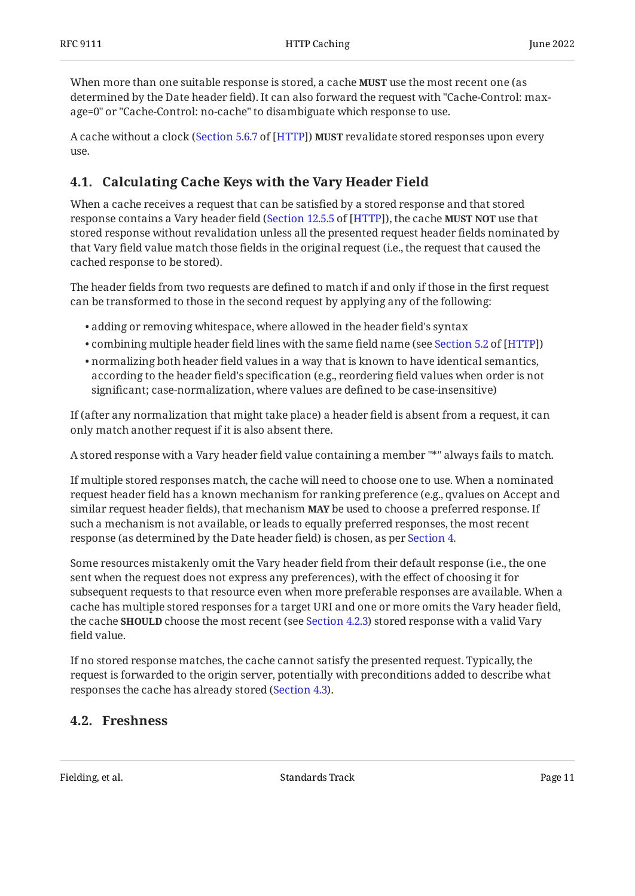When more than one suitable response is stored, a cache **MUST** use the most recent one (as determined by the Date header field). It can also forward the request with "Cache-Control: maxage=0" or "Cache-Control: no-cache" to disambiguate which response to use.

A cache without a clock ([Section 5.6.7](https://www.rfc-editor.org/rfc/rfc9110#section-5.6.7) of [\[HTTP](#page-30-4)]) **MUST** revalidate stored responses upon every use.

# <span id="page-10-0"></span>**[4.1. Calculating Cache Keys with the Vary Header Field](#page-10-0)**

When a cache receives a request that can be satisfied by a stored response and that stored response contains a Vary header field ([Section 12.5.5](https://www.rfc-editor.org/rfc/rfc9110#section-12.5.5) of [\[HTTP](#page-30-4)]), the cache **MUST NOT** use that stored response without revalidation unless all the presented request header fields nominated by that Vary field value match those fields in the original request (i.e., the request that caused the cached response to be stored).

The header fields from two requests are defined to match if and only if those in the first request can be transformed to those in the second request by applying any of the following:

- adding or removing whitespace, where allowed in the header field's syntax •
- $\bullet$ combining multiple header field lines with the same field name (see Section 5.2 of [HTTP])
- $\bullet$  normalizing both header field values in a way that is known to have identical semantics, according to the header field's specification (e.g., reordering field values when order is not significant; case-normalization, where values are defined to be case-insensitive)

If (after any normalization that might take place) a header field is absent from a request, it can only match another request if it is also absent there.

A stored response with a Vary header field value containing a member "\*" always fails to match.

If multiple stored responses match, the cache will need to choose one to use. When a nominated request header field has a known mechanism for ranking preference (e.g., qvalues on Accept and similar request header fields), that mechanism **MAY** be used to choose a preferred response. If such a mechanism is not available, or leads to equally preferred responses, the most recent response (as determined by the Date header field) is chosen, as per [Section 4](#page-9-1).

Some resources mistakenly omit the Vary header field from their default response (i.e., the one sent when the request does not express any preferences), with the effect of choosing it for subsequent requests to that resource even when more preferable responses are available. When a cache has multiple stored responses for a target URI and one or more omits the Vary header field, the cache **SHOULD** choose the most recent (see [Section 4.2.3\)](#page-13-0) stored response with a valid Vary field value.

If no stored response matches, the cache cannot satisfy the presented request. Typically, the request is forwarded to the origin server, potentially with preconditions added to describe what responses the cache has already stored [\(Section 4.3](#page-14-1)).

# <span id="page-10-1"></span>**[4.2. Freshness](#page-10-1)**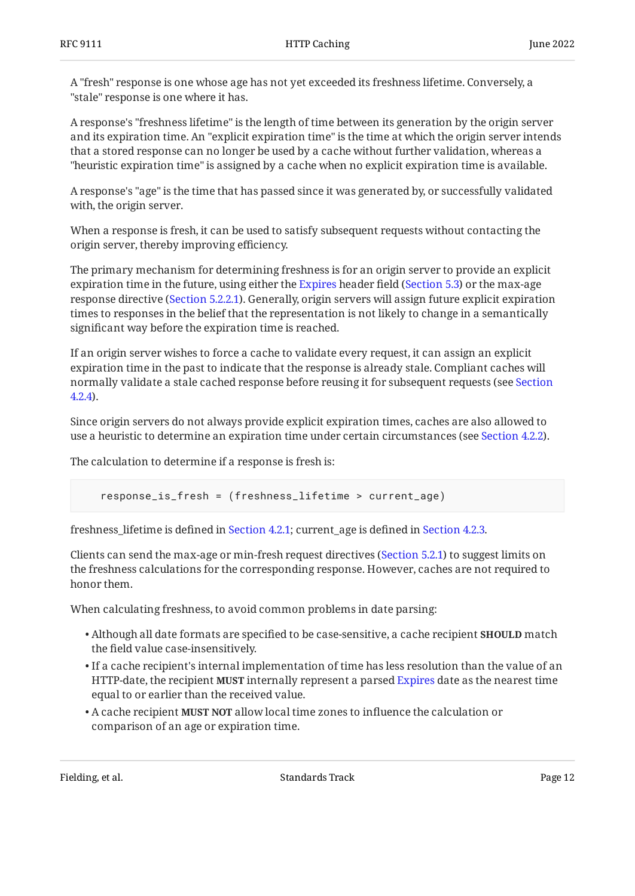A "fresh" response is one whose age has not yet exceeded its freshness lifetime. Conversely, a "stale" response is one where it has.

A response's "freshness lifetime" is the length of time between its generation by the origin server and its expiration time. An "explicit expiration time" is the time at which the origin server intends that a stored response can no longer be used by a cache without further validation, whereas a "heuristic expiration time" is assigned by a cache when no explicit expiration time is available.

A response's "age" is the time that has passed since it was generated by, or successfully validated with, the origin server.

When a response is fresh, it can be used to satisfy subsequent requests without contacting the origin server, thereby improving efficiency.

The primary mechanism for determining freshness is for an origin server to provide an explicit expiration time in the future, using either the [Expires](#page-25-1) header field ([Section 5.3](#page-25-1)) or the max-age response directive ([Section 5.2.2.1](#page-21-3)). Generally, origin servers will assign future explicit expiration times to responses in the belief that the representation is not likely to change in a semantically significant way before the expiration time is reached.

If an origin server wishes to force a cache to validate every request, it can assign an explicit expiration time in the past to indicate that the response is already stale. Compliant caches will normally validate a stale cached response before reusing it for subsequent requests (see [Section](#page-14-0) [4.2.4](#page-14-0)).

Since origin servers do not always provide explicit expiration times, caches are also allowed to use a heuristic to determine an expiration time under certain circumstances (see [Section 4.2.2](#page-12-1)).

The calculation to determine if a response is fresh is:

response\_is\_fresh = (freshness\_lifetime > current\_age)

freshness\_lifetime is defined in [Section 4.2.1](#page-12-0); current\_age is defined in [Section 4.2.3.](#page-13-0)

Clients can send the max-age or min-fresh request directives ([Section 5.2.1\)](#page-19-1) to suggest limits on the freshness calculations for the corresponding response. However, caches are not required to honor them.

When calculating freshness, to avoid common problems in date parsing:

- $\bullet$  Although all date formats are specified to be case-sensitive, a cache recipient  $\texttt{SHOULD}\text{ match}$ the field value case-insensitively.
- $\bullet$  If a cache recipient's internal implementation of time has less resolution than the value of an HTTP-date, the recipient **MUST** internally represent a parsed [Expires](#page-25-1) date as the nearest time equal to or earlier than the received value.
- $\bullet$  A cache recipient **MUST NOT** allow local time zones to influence the calculation or comparison of an age or expiration time.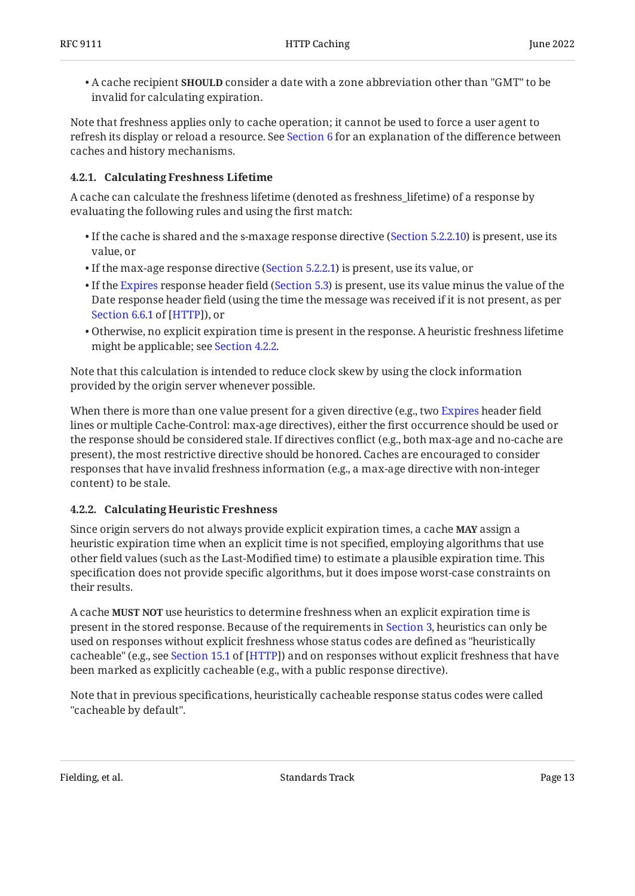$\bullet$  A cache recipient  $\textbf{SHOULD}$  consider a date with a zone abbreviation other than "GMT" to be invalid for calculating expiration.

Note that freshness applies only to cache operation; it cannot be used to force a user agent to refresh its display or reload a resource. See [Section 6](#page-27-0) for an explanation of the difference between caches and history mechanisms.

## <span id="page-12-0"></span>**[4.2.1. Calculating Freshness Lifetime](#page-12-0)**

A cache can calculate the freshness lifetime (denoted as freshness\_lifetime) of a response by evaluating the following rules and using the first match:

- $\bullet$  If the cache is shared and the s-maxage response directive [\(Section 5.2.2.10](#page-24-1)) is present, use its value, or
- If the max-age response directive [\(Section 5.2.2.1](#page-21-3)) is present, use its value, or
- $\bullet$  If the [Expires](#page-25-1) response header field ([Section 5.3\)](#page-25-1) is present, use its value minus the value of the Date response header field (using the time the message was received if it is not present, as per [Section 6.6.1](https://www.rfc-editor.org/rfc/rfc9110#section-6.6.1) of [[HTTP\]](#page-30-4)), or
- $\bullet$  Otherwise, no explicit expiration time is present in the response. A heuristic freshness lifetime might be applicable; see [Section 4.2.2](#page-12-1).

Note that this calculation is intended to reduce clock skew by using the clock information provided by the origin server whenever possible.

When there is more than one value present for a given directive (e.g., two [Expires](#page-25-1) header field lines or multiple Cache-Control: max-age directives), either the first occurrence should be used or the response should be considered stale. If directives conflict (e.g., both max-age and no-cache are present), the most restrictive directive should be honored. Caches are encouraged to consider responses that have invalid freshness information (e.g., a max-age directive with non-integer content) to be stale.

## <span id="page-12-1"></span>**[4.2.2. Calculating Heuristic Freshness](#page-12-1)**

Since origin servers do not always provide explicit expiration times, a cache **MAY** assign a heuristic expiration time when an explicit time is not specified, employing algorithms that use other field values (such as the Last-Modified time) to estimate a plausible expiration time. This specification does not provide specific algorithms, but it does impose worst-case constraints on their results.

A cache **MUST NOT** use heuristics to determine freshness when an explicit expiration time is present in the stored response. Because of the requirements in [Section 3,](#page-6-0) heuristics can only be used on responses without explicit freshness whose status codes are defined as "heuristically cacheable"(e.g., see Section 15.1 of [HTTP]) and on responses without explicit freshness that have been marked as explicitly cacheable (e.g., with a public response directive).

Note that in previous specifications, heuristically cacheable response status codes were called "cacheable by default".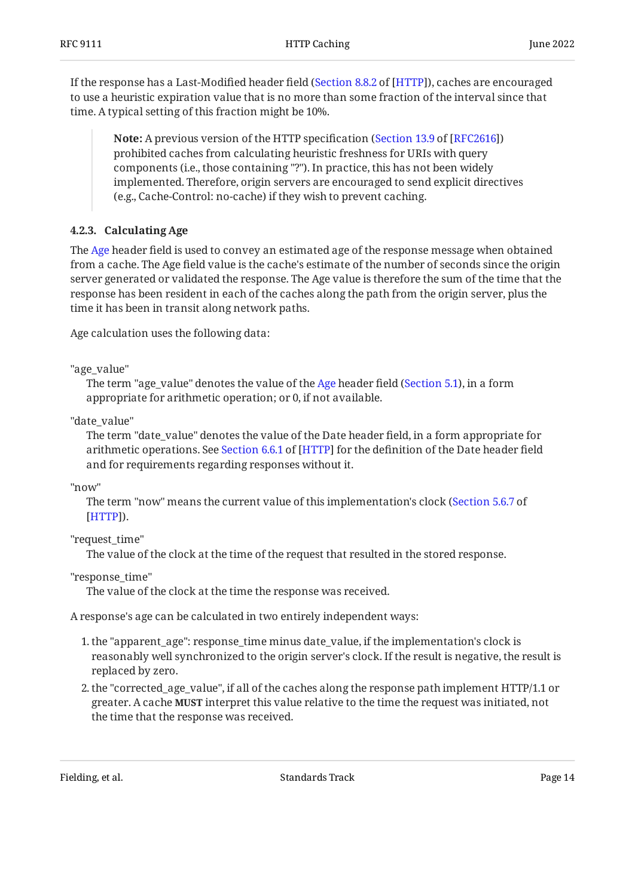If the response has a Last-Modified header field ([Section 8.8.2](https://www.rfc-editor.org/rfc/rfc9110#section-8.8.2) of [\[HTTP](#page-30-4)]), caches are encouraged to use a heuristic expiration value that is no more than some fraction of the interval since that time. A typical setting of this fraction might be 10%.

**Note:** A previous version of the HTTP specification ([Section 13.9](https://www.rfc-editor.org/rfc/rfc2616#section-13.9) of [\[RFC2616](#page-30-9)]) prohibited caches from calculating heuristic freshness for URIs with query components (i.e., those containing "?"). In practice, this has not been widely implemented. Therefore, origin servers are encouraged to send explicit directives (e.g., Cache-Control: no-cache) if they wish to prevent caching.

## <span id="page-13-0"></span>**[4.2.3. Calculating Age](#page-13-0)**

The [Age](#page-18-2) header field is used to convey an estimated age of the response message when obtained from a cache. The Age field value is the cache's estimate of the number of seconds since the origin server generated or validated the response. The Age value is therefore the sum of the time that the response has been resident in each of the caches along the path from the origin server, plus the time it has been in transit along network paths.

Age calculation uses the following data:

"age\_value"

The term "age\_value" denotes the value of the [Age](#page-18-2) header field [\(Section 5.1](#page-18-2)), in a form appropriate for arithmetic operation; or 0, if not available.

"date\_value"

The term "date\_value" denotes the value of the Date header field, in a form appropriate for arithmeticoperations. See Section 6.6.1 of [HTTP] for the definition of the Date header field  $\,$ and for requirements regarding responses without it.

"now"

The term "now" means the current value of this implementation's clock ( [Section 5.6.7](https://www.rfc-editor.org/rfc/rfc9110#section-5.6.7) of ). [[HTTP\]](#page-30-4)

"request\_time"

The value of the clock at the time of the request that resulted in the stored response.

"response\_time"

The value of the clock at the time the response was received.

A response's age can be calculated in two entirely independent ways:

- 1. the "apparent\_age": response\_time minus date\_value, if the implementation's clock is reasonably well synchronized to the origin server's clock. If the result is negative, the result is replaced by zero.
- 2. the "corrected\_age\_value", if all of the caches along the response path implement HTTP/1.1 or greater. A cache **MUST** interpret this value relative to the time the request was initiated, not the time that the response was received.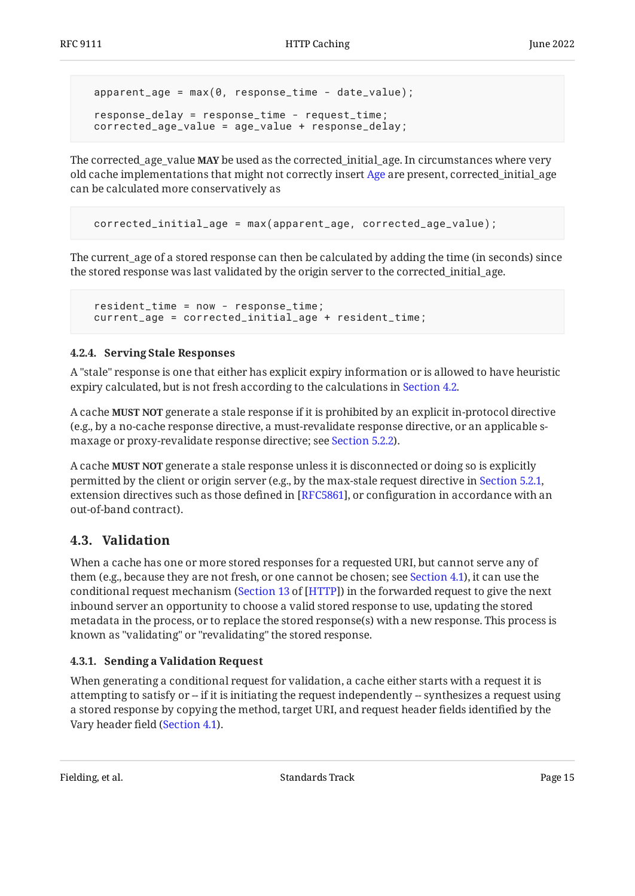```
apparent_age = max(0, response_time - date_value); response_delay = response_time - request_time;
 corrected_age_value = age_value + response_delay;
```
The corrected\_age\_value **MAY** be used as the corrected\_initial\_age. In circumstances where very old cache implementations that might not correctly insert [Age](#page-18-2) are present, corrected\_initial\_age can be calculated more conservatively as

```
 corrected_initial_age = max(apparent_age, corrected_age_value);
```
The current\_age of a stored response can then be calculated by adding the time (in seconds) since the stored response was last validated by the origin server to the corrected\_initial\_age.

```
 resident_time = now - response_time;
 current_age = corrected_initial_age + resident_time;
```
## <span id="page-14-0"></span>**[4.2.4. Serving Stale Responses](#page-14-0)**

A "stale" response is one that either has explicit expiry information or is allowed to have heuristic expiry calculated, but is not fresh according to the calculations in [Section 4.2](#page-10-1).

A cache **MUST NOT** generate a stale response if it is prohibited by an explicit in-protocol directive (e.g., by a no-cache response directive, a must-revalidate response directive, or an applicable smaxage or proxy-revalidate response directive; see [Section 5.2.2\)](#page-21-2).

A cache **MUST NOT** generate a stale response unless it is disconnected or doing so is explicitly permitted by the client or origin server (e.g., by the max-stale request directive in [Section 5.2.1,](#page-19-1) extension directives such as those defined in [RFC5861], or configuration in accordance with an out-of-band contract).

# <span id="page-14-1"></span>**[4.3. Validation](#page-14-1)**

When a cache has one or more stored responses for a requested URI, but cannot serve any of them (e.g., because they are not fresh, or one cannot be chosen; see [Section 4.1\)](#page-10-0), it can use the conditional request mechanism [\(](https://www.rfc-editor.org/rfc/rfc9110#section-13)Section 13 of [HTTP]) in the forwarded request to give the next inbound server an opportunity to choose a valid stored response to use, updating the stored metadata in the process, or to replace the stored response(s) with a new response. This process is known as "validating" or "revalidating" the stored response.

## <span id="page-14-2"></span>**[4.3.1. Sending a Validation Request](#page-14-2)**

When generating a conditional request for validation, a cache either starts with a request it is attempting to satisfy or -- if it is initiating the request independently -- synthesizes a request using a stored response by copying the method, target URI, and request header fields identified by the Vary header field ([Section 4.1](#page-10-0)).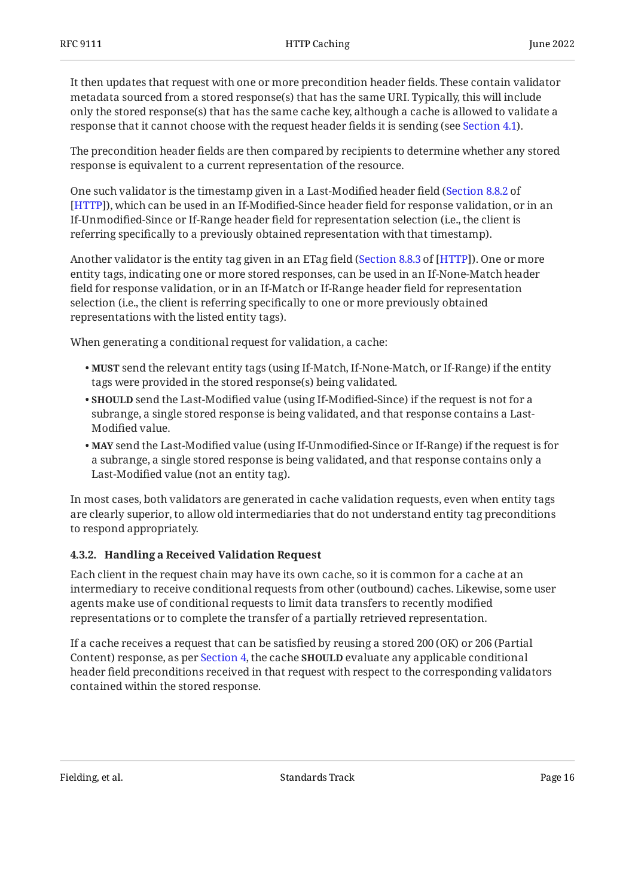It then updates that request with one or more precondition header fields. These contain validator metadata sourced from a stored response(s) that has the same URI. Typically, this will include only the stored response(s) that has the same cache key, although a cache is allowed to validate a response that it cannot choose with the request header fields it is sending (see [Section 4.1](#page-10-0)).

The precondition header fields are then compared by recipients to determine whether any stored response is equivalent to a current representation of the resource.

One such validator is the timestamp given in a Last-Modified header field ( [Section 8.8.2](https://www.rfc-editor.org/rfc/rfc9110#section-8.8.2) of ), which can be used in an If-Modified-Since header field for response validation, or in an [[HTTP\]](#page-30-4) If-Unmodified-Since or If-Range header field for representation selection (i.e., the client is referring specifically to a previously obtained representation with that timestamp).

Another validator is the entity tag given in an ETag field ([Section 8.8.3](https://www.rfc-editor.org/rfc/rfc9110#section-8.8.3) of [\[HTTP](#page-30-4)]). One or more entity tags, indicating one or more stored responses, can be used in an If-None-Match header field for response validation, or in an If-Match or If-Range header field for representation selection (i.e., the client is referring specifically to one or more previously obtained representations with the listed entity tags).

When generating a conditional request for validation, a cache:

- **MUST** send the relevant entity tags (using If-Match, If-None-Match, or If-Range) if the entity tags were provided in the stored response(s) being validated.
- $\bullet$  **SHOULD** send the Last-Modified value (using If-Modified-Since) if the request is not for a subrange, a single stored response is being validated, and that response contains a Last-Modified value.
- send the Last-Modified value (using If-Unmodified-Since or If-Range) if the request is for **MAY** a subrange, a single stored response is being validated, and that response contains only a Last-Modified value (not an entity tag).

In most cases, both validators are generated in cache validation requests, even when entity tags are clearly superior, to allow old intermediaries that do not understand entity tag preconditions to respond appropriately.

## <span id="page-15-0"></span>**[4.3.2. Handling a Received Validation Request](#page-15-0)**

Each client in the request chain may have its own cache, so it is common for a cache at an intermediary to receive conditional requests from other (outbound) caches. Likewise, some user agents make use of conditional requests to limit data transfers to recently modified representations or to complete the transfer of a partially retrieved representation.

If a cache receives a request that can be satisfied by reusing a stored 200 (OK) or 206 (Partial Content) response, as per [Section 4,](#page-9-1) the cache **SHOULD** evaluate any applicable conditional header field preconditions received in that request with respect to the corresponding validators contained within the stored response.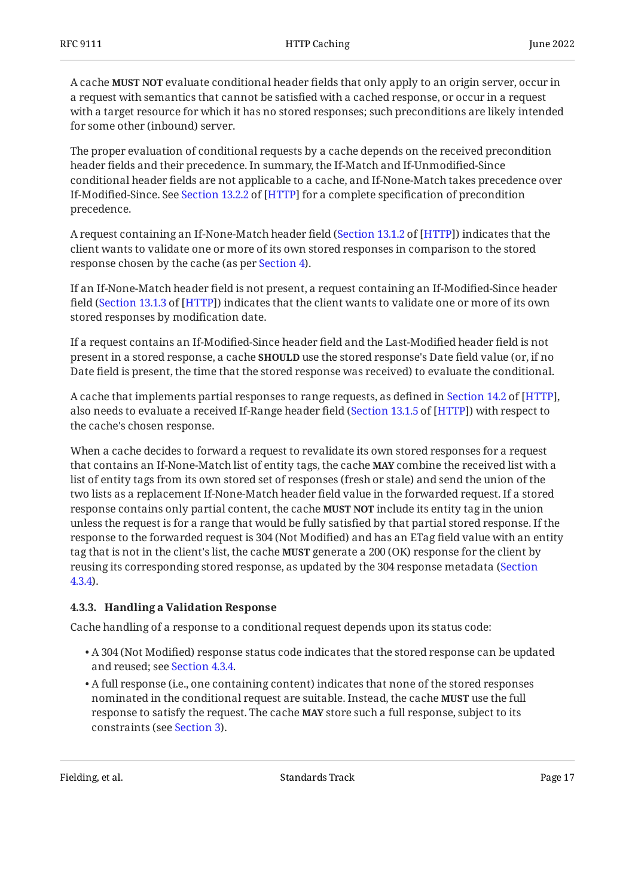A cache **MUST NOT** evaluate conditional header fields that only apply to an origin server, occur in a request with semantics that cannot be satisfied with a cached response, or occur in a request with a target resource for which it has no stored responses; such preconditions are likely intended for some other (inbound) server.

The proper evaluation of conditional requests by a cache depends on the received precondition header fields and their precedence. In summary, the If-Match and If-Unmodified-Since conditional header fields are not applicable to a cache, and If-None-Match takes precedence over If-Modified-Since.See Section 13.2.2 of [HTTP] for a complete specification of precondition precedence.

A request containing an If-None-Match header field ([Section 13.1.2](https://www.rfc-editor.org/rfc/rfc9110#section-13.1.2) of [\[HTTP](#page-30-4)]) indicates that the client wants to validate one or more of its own stored responses in comparison to the stored response chosen by the cache (as per [Section 4\)](#page-9-1).

If an If-None-Match header field is not present, a request containing an If-Modified-Since header field ([Section 13.1.3](https://www.rfc-editor.org/rfc/rfc9110#section-13.1.3) of [[HTTP](#page-30-4)]) indicates that the client wants to validate one or more of its own stored responses by modification date.

If a request contains an If-Modified-Since header field and the Last-Modified header field is not present in a stored response, a cache **SHOULD** use the stored response's Date field value (or, if no Date field is present, the time that the stored response was received) to evaluate the conditional.

Acache that implements partial responses to range requests, as defined in Section 14.2 of [HTTP], also needs to evaluate a received If-Range header field ([Section 13.1.5](https://www.rfc-editor.org/rfc/rfc9110#section-13.1.5) of [\[HTTP](#page-30-4)]) with respect to the cache's chosen response.

When a cache decides to forward a request to revalidate its own stored responses for a request that contains an If-None-Match list of entity tags, the cache **MAY** combine the received list with a list of entity tags from its own stored set of responses (fresh or stale) and send the union of the two lists as a replacement If-None-Match header field value in the forwarded request. If a stored response contains only partial content, the cache **MUST NOT** include its entity tag in the union unless the request is for a range that would be fully satisfied by that partial stored response. If the response to the forwarded request is 304 (Not Modified) and has an ETag field value with an entity tag that is not in the client's list, the cache **MUST** generate a 200 (OK) response for the client by reusing its corresponding stored response, as updated by the 304 response metadata [\(Section](#page-17-0) [4.3.4](#page-17-0)).

## <span id="page-16-0"></span>**[4.3.3. Handling a Validation Response](#page-16-0)**

Cache handling of a response to a conditional request depends upon its status code:

- $\bullet$  A 304 (Not Modified) response status code indicates that the stored response can be updated and reused; see [Section 4.3.4.](#page-17-0)
- A full response (i.e., one containing content) indicates that none of the stored responses nominated in the conditional request are suitable. Instead, the cache **MUST** use the full response to satisfy the request. The cache **MAY** store such a full response, subject to its constraints (see [Section 3\)](#page-6-0).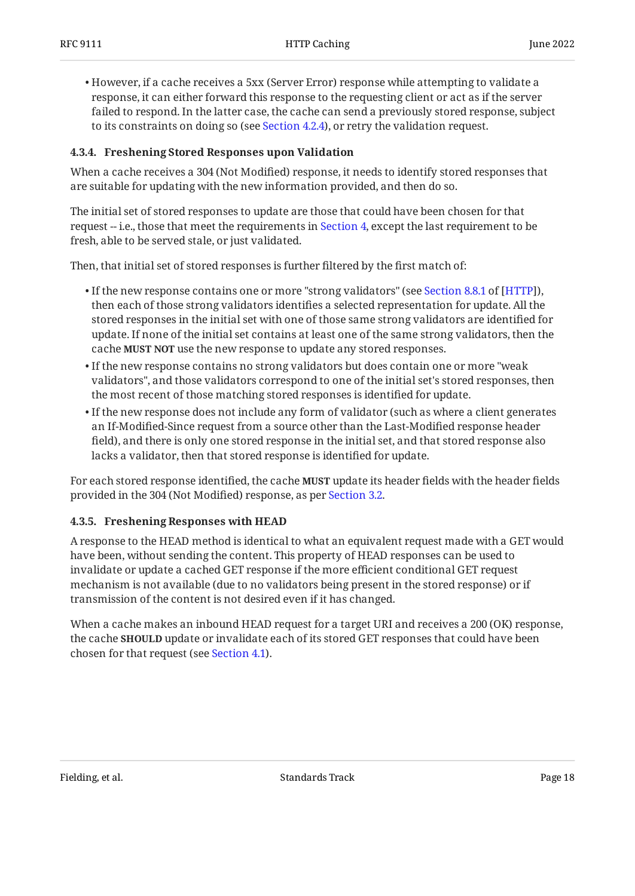$\bullet$  However, if a cache receives a 5xx (Server Error) response while attempting to validate a response, it can either forward this response to the requesting client or act as if the server failed to respond. In the latter case, the cache can send a previously stored response, subject to its constraints on doing so (see [Section 4.2.4](#page-14-0)), or retry the validation request.

## <span id="page-17-0"></span>**[4.3.4. Freshening Stored Responses upon Validation](#page-17-0)**

When a cache receives a 304 (Not Modified) response, it needs to identify stored responses that are suitable for updating with the new information provided, and then do so.

The initial set of stored responses to update are those that could have been chosen for that request -- i.e., those that meet the requirements in [Section 4,](#page-9-1) except the last requirement to be fresh, able to be served stale, or just validated.

Then, that initial set of stored responses is further filtered by the first match of:

- $\bullet$ If the new response contains one or more "strong validators" (see Section 8.8.1 of [HTTP]), then each of those strong validators identifies a selected representation for update. All the stored responses in the initial set with one of those same strong validators are identified for update. If none of the initial set contains at least one of the same strong validators, then the cache **MUST NOT** use the new response to update any stored responses.
- $\bullet$  If the new response contains no strong validators but does contain one or more "weak validators", and those validators correspond to one of the initial set's stored responses, then the most recent of those matching stored responses is identified for update.
- $\bullet$  If the new response does not include any form of validator (such as where a client generates an If-Modified-Since request from a source other than the Last-Modified response header field), and there is only one stored response in the initial set, and that stored response also lacks a validator, then that stored response is identified for update.

For each stored response identified, the cache **MUST** update its header fields with the header fields provided in the 304 (Not Modified) response, as per [Section 3.2](#page-7-1).

## <span id="page-17-1"></span>**[4.3.5. Freshening Responses with HEAD](#page-17-1)**

A response to the HEAD method is identical to what an equivalent request made with a GET would have been, without sending the content. This property of HEAD responses can be used to invalidate or update a cached GET response if the more efficient conditional GET request mechanism is not available (due to no validators being present in the stored response) or if transmission of the content is not desired even if it has changed.

When a cache makes an inbound HEAD request for a target URI and receives a 200 (OK) response, the cache **SHOULD** update or invalidate each of its stored GET responses that could have been chosen for that request (see [Section 4.1\)](#page-10-0).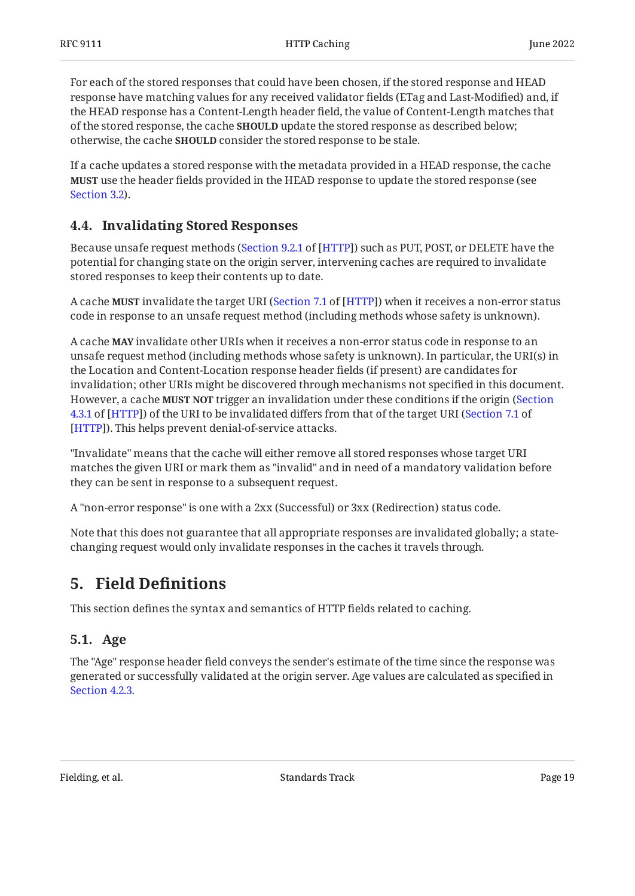For each of the stored responses that could have been chosen, if the stored response and HEAD response have matching values for any received validator fields (ETag and Last-Modified) and, if the HEAD response has a Content-Length header field, the value of Content-Length matches that of the stored response, the cache **SHOULD** update the stored response as described below; otherwise, the cache **SHOULD** consider the stored response to be stale.

If a cache updates a stored response with the metadata provided in a HEAD response, the cache use the header fields provided in the HEAD response to update the stored response (see **MUST** [Section 3.2](#page-7-1)).

# <span id="page-18-0"></span>**[4.4. Invalidating Stored Responses](#page-18-0)**

Because unsafe request methods ([Section 9.2.1](https://www.rfc-editor.org/rfc/rfc9110#section-9.2.1) of [\[HTTP](#page-30-4)]) such as PUT, POST, or DELETE have the potential for changing state on the origin server, intervening caches are required to invalidate stored responses to keep their contents up to date.

A cache **MUST** invalidate the target URI ([Section 7.1](https://www.rfc-editor.org/rfc/rfc9110#section-7.1) of [[HTTP\]](#page-30-4)) when it receives a non-error status code in response to an unsafe request method (including methods whose safety is unknown).

A cache **MAY** invalidate other URIs when it receives a non-error status code in response to an unsafe request method (including methods whose safety is unknown). In particular, the URI(s) in the Location and Content-Location response header fields (if present) are candidates for invalidation; other URIs might be discovered through mechanisms not specified in this document. However, a cache **MUST NOT** trigger an invalidation under these conditions if the origin ([Section](https://www.rfc-editor.org/rfc/rfc9110#section-4.3.1) [4.3.1](https://www.rfc-editor.org/rfc/rfc9110#section-4.3.1) of [\[HTTP](#page-30-4)]) of the URI to be invalidated differs from that of the target URI ([Section 7.1](https://www.rfc-editor.org/rfc/rfc9110#section-7.1) of ). This helps prevent denial-of-service attacks. [[HTTP\]](#page-30-4)

"Invalidate" means that the cache will either remove all stored responses whose target URI matches the given URI or mark them as "invalid" and in need of a mandatory validation before they can be sent in response to a subsequent request.

A "non-error response" is one with a 2xx (Successful) or 3xx (Redirection) status code.

Note that this does not guarantee that all appropriate responses are invalidated globally; a statechanging request would only invalidate responses in the caches it travels through.

# <span id="page-18-1"></span>**[5. Field De](#page-18-1)finitions**

<span id="page-18-2"></span>This section defines the syntax and semantics of HTTP fields related to caching.

# **[5.1. Age](#page-18-2)**

The "Age" response header field conveys the sender's estimate of the time since the response was generated or successfully validated at the origin server. Age values are calculated as specified in [Section 4.2.3.](#page-13-0)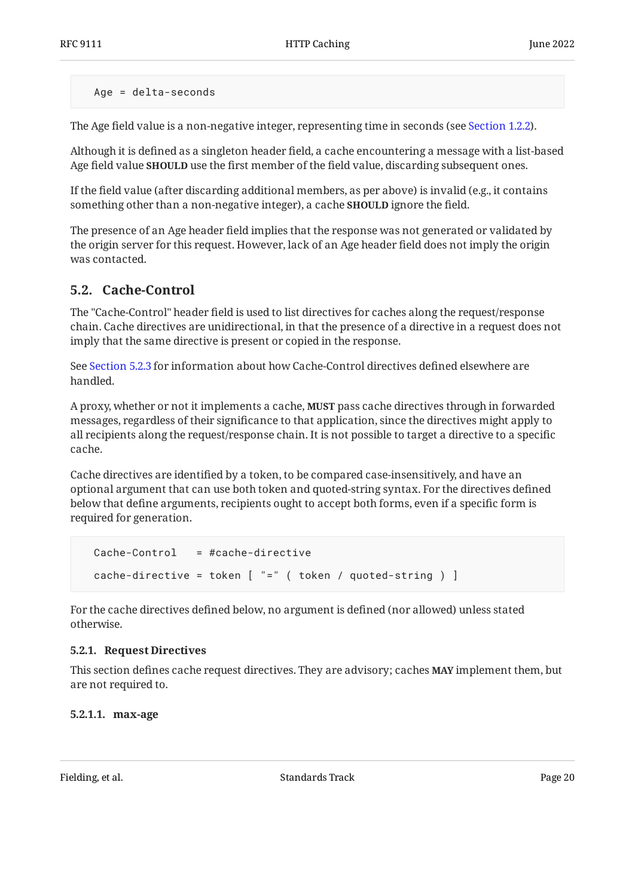Age = delta-seconds

The Age field value is a non-negative integer, representing time in seconds (see [Section 1.2.2](#page-5-0)).

Although it is defined as a singleton header field, a cache encountering a message with a list-based Age field value **SHOULD** use the first member of the field value, discarding subsequent ones.

If the field value (after discarding additional members, as per above) is invalid (e.g., it contains something other than a non-negative integer), a cache **SHOULD** ignore the field.

The presence of an Age header field implies that the response was not generated or validated by the origin server for this request. However, lack of an Age header field does not imply the origin was contacted.

# <span id="page-19-0"></span>**[5.2. Cache-Control](#page-19-0)**

The "Cache-Control" header field is used to list directives for caches along the request/response chain. Cache directives are unidirectional, in that the presence of a directive in a request does not imply that the same directive is present or copied in the response.

See [Section 5.2.3](#page-24-2) for information about how Cache-Control directives defined elsewhere are handled.

A proxy, whether or not it implements a cache, **MUST** pass cache directives through in forwarded messages, regardless of their significance to that application, since the directives might apply to all recipients along the request/response chain. It is not possible to target a directive to a specific cache.

Cache directives are identified by a token, to be compared case-insensitively, and have an optional argument that can use both token and quoted-string syntax. For the directives defined below that define arguments, recipients ought to accept both forms, even if a specific form is required for generation.

```
 Cache-Control = #cache-directive
 cache-directive = token [ "=" ( token / quoted-string ) ]
```
For the cache directives defined below, no argument is defined (nor allowed) unless stated otherwise.

## <span id="page-19-1"></span>**[5.2.1. Request Directives](#page-19-1)**

This section defines cache request directives. They are advisory; caches **MAY** implement them, but are not required to.

## <span id="page-19-2"></span>**[5.2.1.1. max-age](#page-19-2)**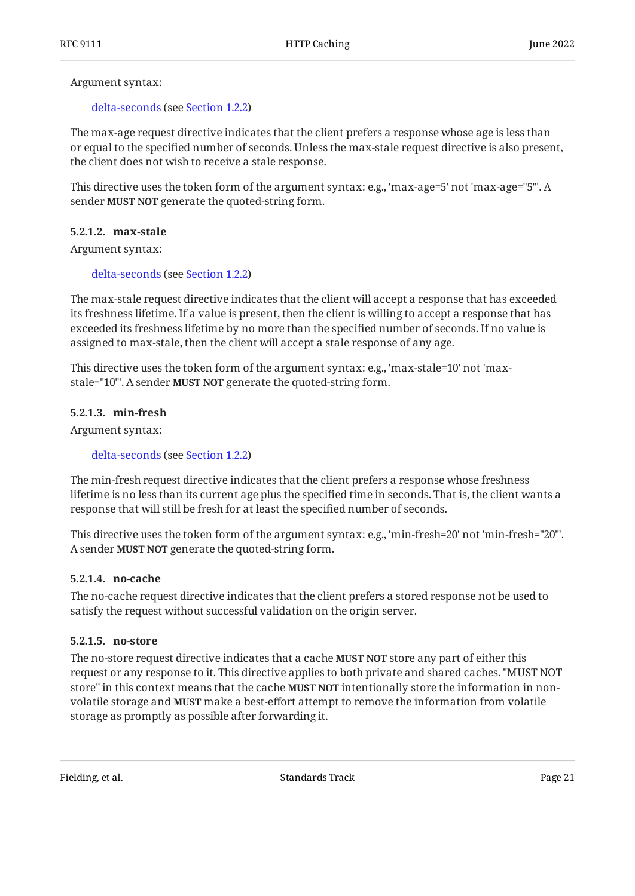Argument syntax:

#### [delta-seconds](#page-5-0) (see [Section 1.2.2](#page-5-0))

The max-age request directive indicates that the client prefers a response whose age is less than or equal to the specified number of seconds. Unless the max-stale request directive is also present, the client does not wish to receive a stale response.

This directive uses the token form of the argument syntax: e.g., 'max-age=5' not 'max-age="5"'. A sender MUST NOT generate the quoted-string form.

#### <span id="page-20-0"></span>**[5.2.1.2. max-stale](#page-20-0)**

Argument syntax:

#### [delta-seconds](#page-5-0) (see [Section 1.2.2](#page-5-0))

The max-stale request directive indicates that the client will accept a response that has exceeded its freshness lifetime. If a value is present, then the client is willing to accept a response that has exceeded its freshness lifetime by no more than the specified number of seconds. If no value is assigned to max-stale, then the client will accept a stale response of any age.

This directive uses the token form of the argument syntax: e.g., 'max-stale=10' not 'maxstale="10"'. A sender **MUST NOT** generate the quoted-string form.

#### <span id="page-20-1"></span>**[5.2.1.3. min-fresh](#page-20-1)**

Argument syntax:

[delta-seconds](#page-5-0) (see [Section 1.2.2](#page-5-0))

The min-fresh request directive indicates that the client prefers a response whose freshness lifetime is no less than its current age plus the specified time in seconds. That is, the client wants a response that will still be fresh for at least the specified number of seconds.

This directive uses the token form of the argument syntax: e.g., 'min-fresh=20' not 'min-fresh="20"'. A sender **MUST NOT** generate the quoted-string form.

#### <span id="page-20-2"></span>**[5.2.1.4. no-cache](#page-20-2)**

The no-cache request directive indicates that the client prefers a stored response not be used to satisfy the request without successful validation on the origin server.

#### <span id="page-20-3"></span>**[5.2.1.5. no-store](#page-20-3)**

The no-store request directive indicates that a cache **MUST NOT** store any part of either this request or any response to it. This directive applies to both private and shared caches. "MUST NOT store" in this context means that the cache **MUST NOT** intentionally store the information in nonvolatile storage and **MUST** make a best-effort attempt to remove the information from volatile storage as promptly as possible after forwarding it.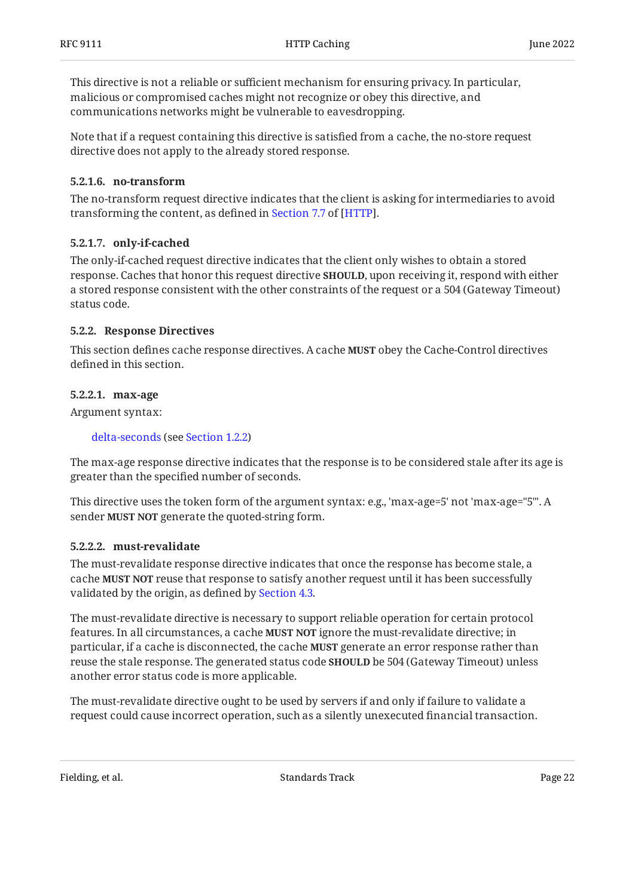This directive is not a reliable or sufficient mechanism for ensuring privacy. In particular, malicious or compromised caches might not recognize or obey this directive, and communications networks might be vulnerable to eavesdropping.

Note that if a request containing this directive is satisfied from a cache, the no-store request directive does not apply to the already stored response.

### <span id="page-21-0"></span>**[5.2.1.6. no-transform](#page-21-0)**

The no-transform request directive indicates that the client is asking for intermediaries to avoid transformingthe content, as defined in Section 7.7 of [HTTP].

### <span id="page-21-1"></span>**[5.2.1.7. only-if-cached](#page-21-1)**

The only-if-cached request directive indicates that the client only wishes to obtain a stored response. Caches that honor this request directive **SHOULD**, upon receiving it, respond with either a stored response consistent with the other constraints of the request or a 504 (Gateway Timeout) status code.

### <span id="page-21-2"></span>**[5.2.2. Response Directives](#page-21-2)**

This section defines cache response directives. A cache **MUST** obey the Cache-Control directives defined in this section.

### <span id="page-21-3"></span>**[5.2.2.1. max-age](#page-21-3)**

Argument syntax:

```
delta-seconds (see Section 1.2.2)
```
The max-age response directive indicates that the response is to be considered stale after its age is greater than the specified number of seconds.

This directive uses the token form of the argument syntax: e.g., 'max-age=5' not 'max-age="5"'. A sender MUST NOT generate the quoted-string form.

## <span id="page-21-4"></span>**[5.2.2.2. must-revalidate](#page-21-4)**

The must-revalidate response directive indicates that once the response has become stale, a cache **MUST NOT** reuse that response to satisfy another request until it has been successfully validated by the origin, as defined by [Section 4.3](#page-14-1).

The must-revalidate directive is necessary to support reliable operation for certain protocol features. In all circumstances, a cache **MUST NOT** ignore the must-revalidate directive; in particular, if a cache is disconnected, the cache **MUST** generate an error response rather than reuse the stale response. The generated status code **SHOULD** be 504 (Gateway Timeout) unless another error status code is more applicable.

The must-revalidate directive ought to be used by servers if and only if failure to validate a request could cause incorrect operation, such as a silently unexecuted financial transaction.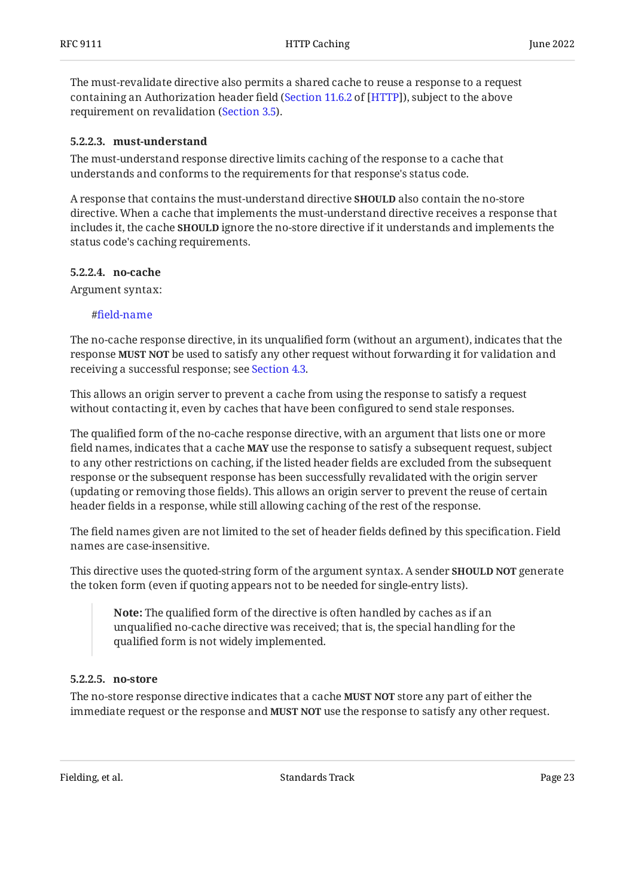The must-revalidate directive also permits a shared cache to reuse a response to a request containing an Authorization header field ([Section 11.6.2](https://www.rfc-editor.org/rfc/rfc9110#section-11.6.2) of [[HTTP](#page-30-4)]), subject to the above requirement on revalidation [\(Section 3.5](#page-9-0)).

### <span id="page-22-0"></span>**[5.2.2.3. must-understand](#page-22-0)**

The must-understand response directive limits caching of the response to a cache that understands and conforms to the requirements for that response's status code.

A response that contains the must-understand directive **SHOULD** also contain the no-store directive. When a cache that implements the must-understand directive receives a response that includes it, the cache **SHOULD** ignore the no-store directive if it understands and implements the status code's caching requirements.

#### <span id="page-22-1"></span>**[5.2.2.4. no-cache](#page-22-1)**

Argument syntax:

#### #fi[eld-name](#page-4-3)

The no-cache response directive, in its unqualified form (without an argument), indicates that the response **MUST NOT** be used to satisfy any other request without forwarding it for validation and receiving a successful response; see [Section 4.3](#page-14-1).

This allows an origin server to prevent a cache from using the response to satisfy a request without contacting it, even by caches that have been configured to send stale responses.

The qualified form of the no-cache response directive, with an argument that lists one or more field names, indicates that a cache **MAY** use the response to satisfy a subsequent request, subject to any other restrictions on caching, if the listed header fields are excluded from the subsequent response or the subsequent response has been successfully revalidated with the origin server (updating or removing those fields). This allows an origin server to prevent the reuse of certain header fields in a response, while still allowing caching of the rest of the response.

The field names given are not limited to the set of header fields defined by this specification. Field names are case-insensitive.

This directive uses the quoted-string form of the argument syntax. A sender **SHOULD NOT** generate the token form (even if quoting appears not to be needed for single-entry lists).

**Note:** The qualified form of the directive is often handled by caches as if an unqualified no-cache directive was received; that is, the special handling for the qualified form is not widely implemented.

#### <span id="page-22-2"></span>**[5.2.2.5. no-store](#page-22-2)**

The no-store response directive indicates that a cache **MUST NOT** store any part of either the immediate request or the response and **MUST NOT** use the response to satisfy any other request.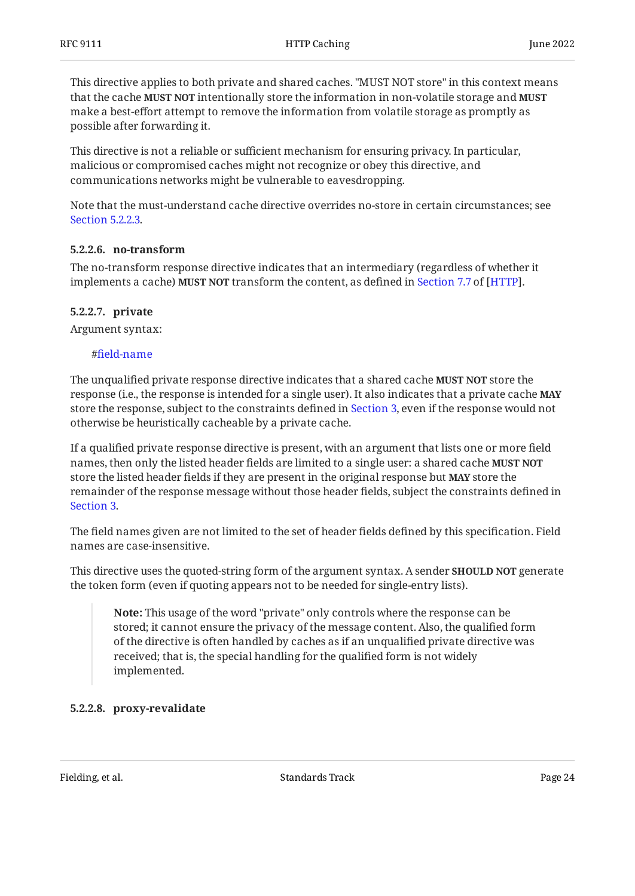This directive applies to both private and shared caches. "MUST NOT store" in this context means that the cache intentionally store the information in non-volatile storage and **MUST NOT MUST** make a best-effort attempt to remove the information from volatile storage as promptly as possible after forwarding it.

This directive is not a reliable or sufficient mechanism for ensuring privacy. In particular, malicious or compromised caches might not recognize or obey this directive, and communications networks might be vulnerable to eavesdropping.

Note that the must-understand cache directive overrides no-store in certain circumstances; see [Section 5.2.2.3](#page-22-0).

### <span id="page-23-0"></span>**[5.2.2.6. no-transform](#page-23-0)**

The no-transform response directive indicates that an intermediary (regardless of whether it implementsa cache) MUST NOT transform the content, as defined in Section 7.7 of [HTTP].

### <span id="page-23-1"></span>**[5.2.2.7. private](#page-23-1)**

Argument syntax:

### #fi[eld-name](#page-4-3)

The unqualified private response directive indicates that a shared cache **MUST NOT** store the response (i.e., the response is intended for a single user). It also indicates that a private cache **MAY** store the response, subject to the constraints defined in [Section 3,](#page-6-0) even if the response would not otherwise be heuristically cacheable by a private cache.

If a qualified private response directive is present, with an argument that lists one or more field names, then only the listed header fields are limited to a single user: a shared cache **MUST NOT** store the listed header fields if they are present in the original response but **MAY** store the remainder of the response message without those header fields, subject the constraints defined in [Section 3.](#page-6-0)

The field names given are not limited to the set of header fields defined by this specification. Field names are case-insensitive.

This directive uses the quoted-string form of the argument syntax. A sender **SHOULD NOT** generate the token form (even if quoting appears not to be needed for single-entry lists).

**Note:** This usage of the word "private" only controls where the response can be stored; it cannot ensure the privacy of the message content. Also, the qualified form of the directive is often handled by caches as if an unqualified private directive was received; that is, the special handling for the qualified form is not widely implemented.

## <span id="page-23-2"></span>**[5.2.2.8. proxy-revalidate](#page-23-2)**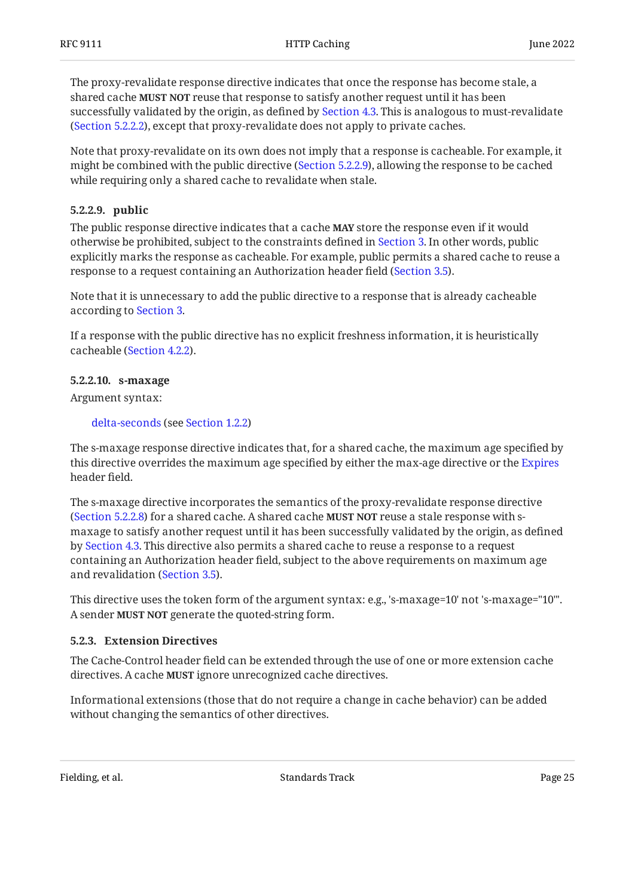The proxy-revalidate response directive indicates that once the response has become stale, a shared cache **MUST NOT** reuse that response to satisfy another request until it has been successfully validated by the origin, as defined by [Section 4.3](#page-14-1). This is analogous to must-revalidate ([Section 5.2.2.2\)](#page-21-4), except that proxy-revalidate does not apply to private caches.

Note that proxy-revalidate on its own does not imply that a response is cacheable. For example, it might be combined with the public directive ([Section 5.2.2.9\)](#page-24-0), allowing the response to be cached while requiring only a shared cache to revalidate when stale.

## <span id="page-24-0"></span>**[5.2.2.9. public](#page-24-0)**

The public response directive indicates that a cache **MAY** store the response even if it would otherwise be prohibited, subject to the constraints defined in [Section 3.](#page-6-0) In other words, public explicitly marks the response as cacheable. For example, public permits a shared cache to reuse a response to a request containing an Authorization header field ([Section 3.5\)](#page-9-0).

Note that it is unnecessary to add the public directive to a response that is already cacheable according to [Section 3.](#page-6-0)

If a response with the public directive has no explicit freshness information, it is heuristically cacheable ([Section 4.2.2\)](#page-12-1).

## <span id="page-24-1"></span>**[5.2.2.10. s-maxage](#page-24-1)**

Argument syntax:

#### [delta-seconds](#page-5-0) (see [Section 1.2.2](#page-5-0))

The s-maxage response directive indicates that, for a shared cache, the maximum age specified by this directive overrides the maximum age specified by either the max-age directive or the [Expires](#page-25-1) header field.

The s-maxage directive incorporates the semantics of the proxy-revalidate response directive ([Section 5.2.2.8\)](#page-23-2) for a shared cache. A shared cache **MUST NOT** reuse a stale response with smaxage to satisfy another request until it has been successfully validated by the origin, as defined by [Section 4.3](#page-14-1). This directive also permits a shared cache to reuse a response to a request containing an Authorization header field, subject to the above requirements on maximum age and revalidation ([Section 3.5](#page-9-0)).

This directive uses the token form of the argument syntax: e.g., 's-maxage=10' not 's-maxage="10"'. A sender **MUST NOT** generate the quoted-string form.

## <span id="page-24-2"></span>**[5.2.3. Extension Directives](#page-24-2)**

The Cache-Control header field can be extended through the use of one or more extension cache directives. A cache **MUST** ignore unrecognized cache directives.

Informational extensions (those that do not require a change in cache behavior) can be added without changing the semantics of other directives.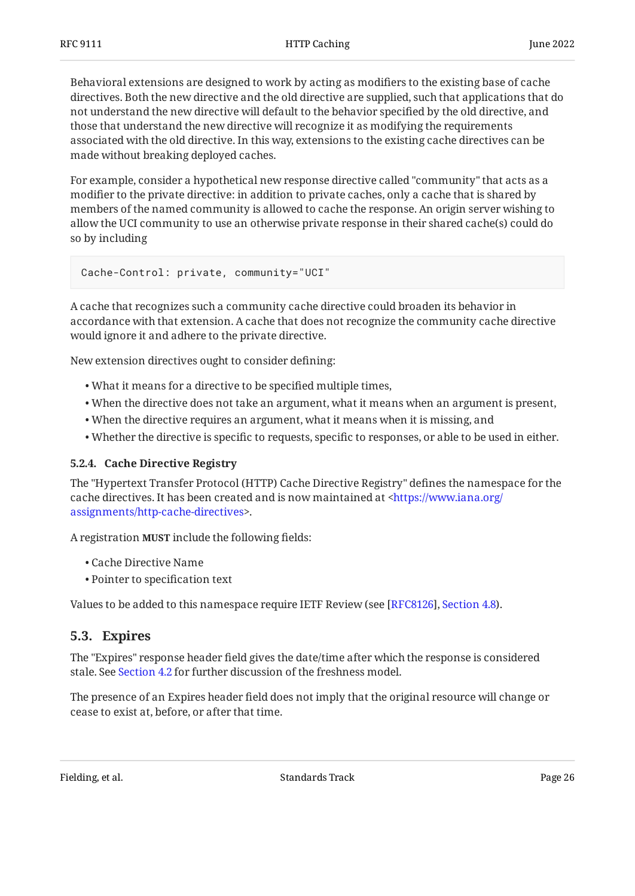Behavioral extensions are designed to work by acting as modifiers to the existing base of cache directives. Both the new directive and the old directive are supplied, such that applications that do not understand the new directive will default to the behavior specified by the old directive, and those that understand the new directive will recognize it as modifying the requirements associated with the old directive. In this way, extensions to the existing cache directives can be made without breaking deployed caches.

For example, consider a hypothetical new response directive called "community" that acts as a modifier to the private directive: in addition to private caches, only a cache that is shared by members of the named community is allowed to cache the response. An origin server wishing to allow the UCI community to use an otherwise private response in their shared cache(s) could do so by including

```
Cache-Control: private, community="UCI"
```
A cache that recognizes such a community cache directive could broaden its behavior in accordance with that extension. A cache that does not recognize the community cache directive would ignore it and adhere to the private directive.

New extension directives ought to consider defining:

- What it means for a directive to be specified multiple times, •
- When the directive does not take an argument, what it means when an argument is present, •
- When the directive requires an argument, what it means when it is missing, and •
- Whether the directive is specific to requests, specific to responses, or able to be used in either. •

## <span id="page-25-0"></span>**[5.2.4. Cache Directive Registry](#page-25-0)**

The "Hypertext Transfer Protocol (HTTP) Cache Directive Registry" defines the namespace for the cache directives. It has been created and is now maintained at [<https://www.iana.org/](https://www.iana.org/assignments/http-cache-directives) . [assignments/http-cache-directives>](https://www.iana.org/assignments/http-cache-directives)

A registration **MUST** include the following fields:

- Cache Directive Name •
- Pointer to specification text •

<span id="page-25-1"></span>Values to be added to this namespace require IETF Review (see [RFC8126], Section 4.8[\)](https://www.rfc-editor.org/rfc/rfc8126#section-4.8).

# **[5.3. Expires](#page-25-1)**

The "Expires" response header field gives the date/time after which the response is considered stale. See [Section 4.2](#page-10-1) for further discussion of the freshness model.

The presence of an Expires header field does not imply that the original resource will change or cease to exist at, before, or after that time.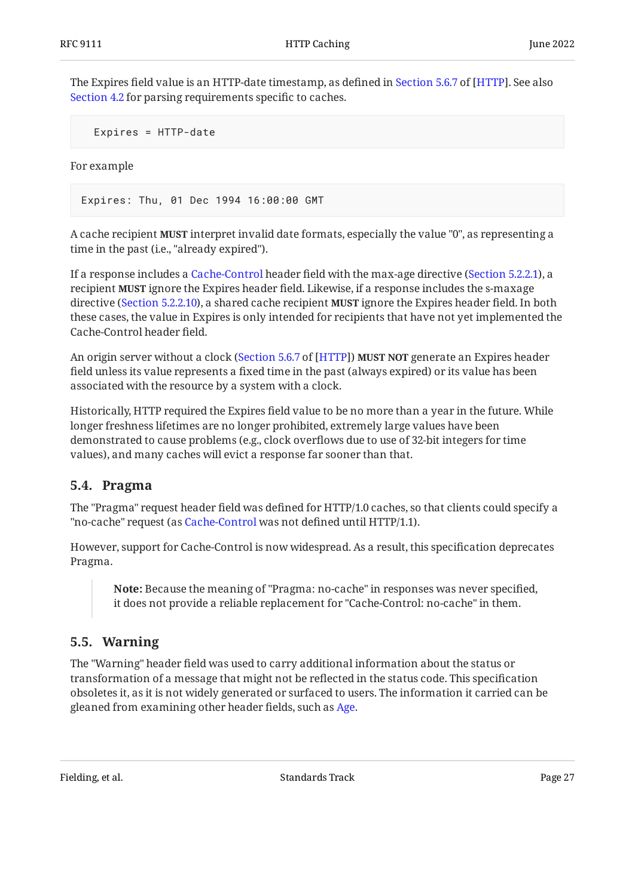TheExpires field value is an HTTP-date timestamp, as defined in Section 5.6.7 of [HTTP]. See also [Section 4.2](#page-10-1) for parsing requirements specific to caches.

```
 Expires = HTTP-date
```
For example

Expires: Thu, 01 Dec 1994 16:00:00 GMT

A cache recipient **MUST** interpret invalid date formats, especially the value "0", as representing a time in the past (i.e., "already expired").

If a response includes a [Cache-Control](#page-19-0) header field with the max-age directive [\(Section 5.2.2.1](#page-21-3)), a recipient **MUST** ignore the Expires header field. Likewise, if a response includes the s-maxage directive ([Section 5.2.2.10](#page-24-1)), a shared cache recipient **MUST** ignore the Expires header field. In both these cases, the value in Expires is only intended for recipients that have not yet implemented the Cache-Control header field.

An origin server without a clock ([Section 5.6.7](https://www.rfc-editor.org/rfc/rfc9110#section-5.6.7) of [\[HTTP](#page-30-4)]) **MUST NOT** generate an Expires header field unless its value represents a fixed time in the past (always expired) or its value has been associated with the resource by a system with a clock.

Historically, HTTP required the Expires field value to be no more than a year in the future. While longer freshness lifetimes are no longer prohibited, extremely large values have been demonstrated to cause problems (e.g., clock overflows due to use of 32-bit integers for time values), and many caches will evict a response far sooner than that.

# <span id="page-26-0"></span>**[5.4. Pragma](#page-26-0)**

The "Pragma" request header field was defined for HTTP/1.0 caches, so that clients could specify a "no-cache" request (as [Cache-Control](#page-19-0) was not defined until HTTP/1.1).

However, support for Cache-Control is now widespread. As a result, this specification deprecates Pragma.

**Note:** Because the meaning of "Pragma: no-cache" in responses was never specified, it does not provide a reliable replacement for "Cache-Control: no-cache" in them.

# <span id="page-26-1"></span>**[5.5. Warning](#page-26-1)**

The "Warning" header field was used to carry additional information about the status or transformation of a message that might not be reflected in the status code. This specification obsoletes it, as it is not widely generated or surfaced to users. The information it carried can be gleaned from examining other header fields, such as [Age.](#page-18-2)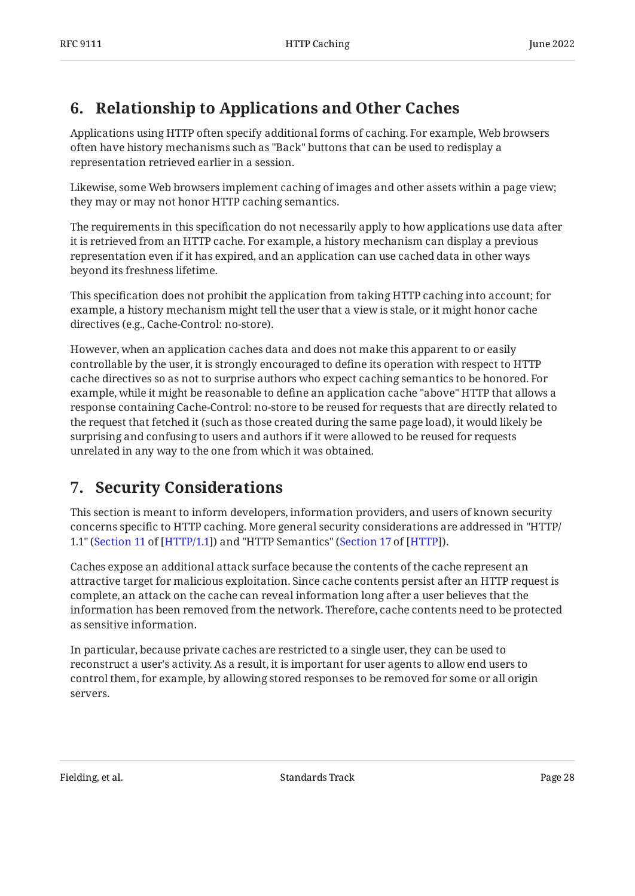# <span id="page-27-0"></span>**[6. Relationship to Applications and Other Caches](#page-27-0)**

Applications using HTTP often specify additional forms of caching. For example, Web browsers often have history mechanisms such as "Back" buttons that can be used to redisplay a representation retrieved earlier in a session.

Likewise, some Web browsers implement caching of images and other assets within a page view; they may or may not honor HTTP caching semantics.

The requirements in this specification do not necessarily apply to how applications use data after it is retrieved from an HTTP cache. For example, a history mechanism can display a previous representation even if it has expired, and an application can use cached data in other ways beyond its freshness lifetime.

This specification does not prohibit the application from taking HTTP caching into account; for example, a history mechanism might tell the user that a view is stale, or it might honor cache directives (e.g., Cache-Control: no-store).

However, when an application caches data and does not make this apparent to or easily controllable by the user, it is strongly encouraged to define its operation with respect to HTTP cache directives so as not to surprise authors who expect caching semantics to be honored. For example, while it might be reasonable to define an application cache "above" HTTP that allows a response containing Cache-Control: no-store to be reused for requests that are directly related to the request that fetched it (such as those created during the same page load), it would likely be surprising and confusing to users and authors if it were allowed to be reused for requests unrelated in any way to the one from which it was obtained.

# <span id="page-27-1"></span>**[7. Security Considerations](#page-27-1)**

This section is meant to inform developers, information providers, and users of known security concerns specific to HTTP caching. More general security considerations are addressed in "HTTP/ 1.1" ([Section 11](https://www.rfc-editor.org/rfc/rfc9112#section-11) of [\[HTTP/1.1](#page-30-10)]) and "HTTP Semantics" (Section 17 of [HTTP]).

Caches expose an additional attack surface because the contents of the cache represent an attractive target for malicious exploitation. Since cache contents persist after an HTTP request is complete, an attack on the cache can reveal information long after a user believes that the information has been removed from the network. Therefore, cache contents need to be protected as sensitive information.

In particular, because private caches are restricted to a single user, they can be used to reconstruct a user's activity. As a result, it is important for user agents to allow end users to control them, for example, by allowing stored responses to be removed for some or all origin servers.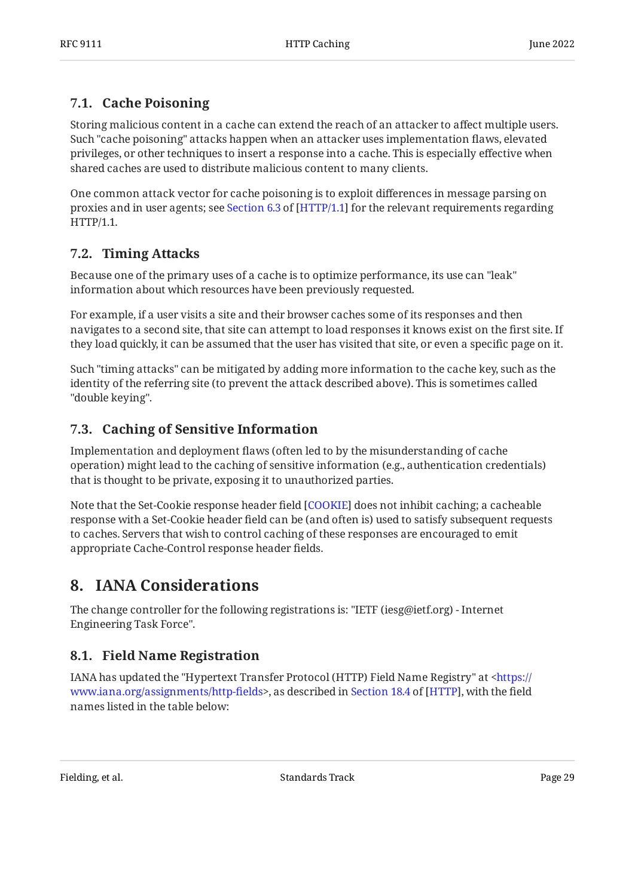# <span id="page-28-0"></span>**[7.1. Cache Poisoning](#page-28-0)**

Storing malicious content in a cache can extend the reach of an attacker to affect multiple users. Such "cache poisoning" attacks happen when an attacker uses implementation flaws, elevated privileges, or other techniques to insert a response into a cache. This is especially effective when shared caches are used to distribute malicious content to many clients.

One common attack vector for cache poisoning is to exploit differences in message parsing on proxiesand in user agents; see Section 6.3 of [HTTP/1.1] for the relevant requirements regarding HTTP/1.1.

# <span id="page-28-1"></span>**[7.2. Timing Attacks](#page-28-1)**

Because one of the primary uses of a cache is to optimize performance, its use can "leak" information about which resources have been previously requested.

For example, if a user visits a site and their browser caches some of its responses and then navigates to a second site, that site can attempt to load responses it knows exist on the first site. If they load quickly, it can be assumed that the user has visited that site, or even a specific page on it.

Such "timing attacks" can be mitigated by adding more information to the cache key, such as the identity of the referring site (to prevent the attack described above). This is sometimes called "double keying".

# <span id="page-28-2"></span>**[7.3. Caching of Sensitive Information](#page-28-2)**

Implementation and deployment flaws (often led to by the misunderstanding of cache operation) might lead to the caching of sensitive information (e.g., authentication credentials) that is thought to be private, exposing it to unauthorized parties.

Note that the Set-Cookie response header field [[COOKIE\]](#page-30-11) does not inhibit caching; a cacheable response with a Set-Cookie header field can be (and often is) used to satisfy subsequent requests to caches. Servers that wish to control caching of these responses are encouraged to emit appropriate Cache-Control response header fields.

# <span id="page-28-3"></span>**[8. IANA Considerations](#page-28-3)**

The change controller for the following registrations is: "IETF (iesg@ietf.org) - Internet Engineering Task Force".

# <span id="page-28-4"></span>**[8.1. Field Name Registration](#page-28-4)**

IANA has updated the "Hypertext Transfer Protocol (HTTP) Field Name Registry" at <[https://](https://www.iana.org/assignments/http-fields) www.iana.org/assignments/http-fields>,as described in Section 18.4 of [HTTP], with the field names listed in the table below: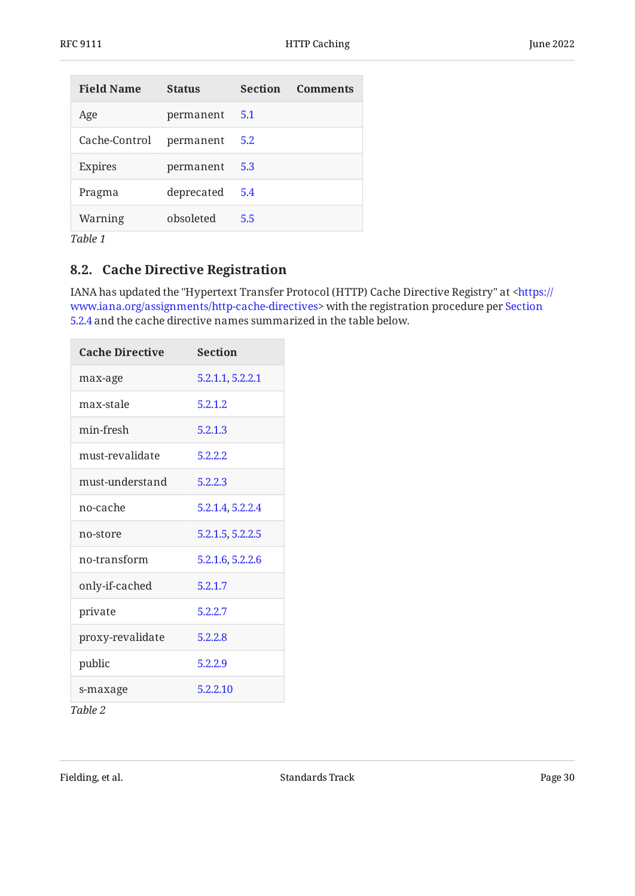<span id="page-29-1"></span>

| <b>Field Name</b> | <b>Status</b> | <b>Section</b> | <b>Comments</b> |
|-------------------|---------------|----------------|-----------------|
| Age               | permanent     | 5.1            |                 |
| Cache-Control     | permanent     | 5.2            |                 |
| Expires           | permanent     | 5.3            |                 |
| Pragma            | deprecated    | 5.4            |                 |
| Warning           | obsoleted     | 5.5            |                 |
| Table 1           |               |                |                 |

# <span id="page-29-0"></span>**[8.2. Cache Directive Registration](#page-29-0)**

IANA has updated the "Hypertext Transfer Protocol (HTTP) Cache Directive Registry" at [<https://](https://www.iana.org/assignments/http-cache-directives) www.iana.org/assignments/http-cache-directives> with the registration procedure per [Section](#page-25-0) [5.2.4](#page-25-0) and the cache directive names summarized in the table below.

<span id="page-29-2"></span>

| <b>Cache Directive</b> | <b>Section</b>   |  |
|------------------------|------------------|--|
| max-age                | 5.2.1.1, 5.2.2.1 |  |
| max-stale              | 5.2.1.2          |  |
| min-fresh              | 5.2.1.3          |  |
| must-revalidate        | 5.2.2.2          |  |
| must-understand        | 5.2.2.3          |  |
| no-cache               | 5.2.1.4, 5.2.2.4 |  |
| no-store               | 5.2.1.5, 5.2.2.5 |  |
| no-transform           | 5.2.1.6, 5.2.2.6 |  |
| only-if-cached         | 5.2.1.7          |  |
| private                | 5.2.2.7          |  |
| proxy-revalidate       | 5.2.2.8          |  |
| public                 | 5.2.2.9          |  |
| s-maxage               | 5.2.2.10         |  |

*[Table 2](#page-29-2)*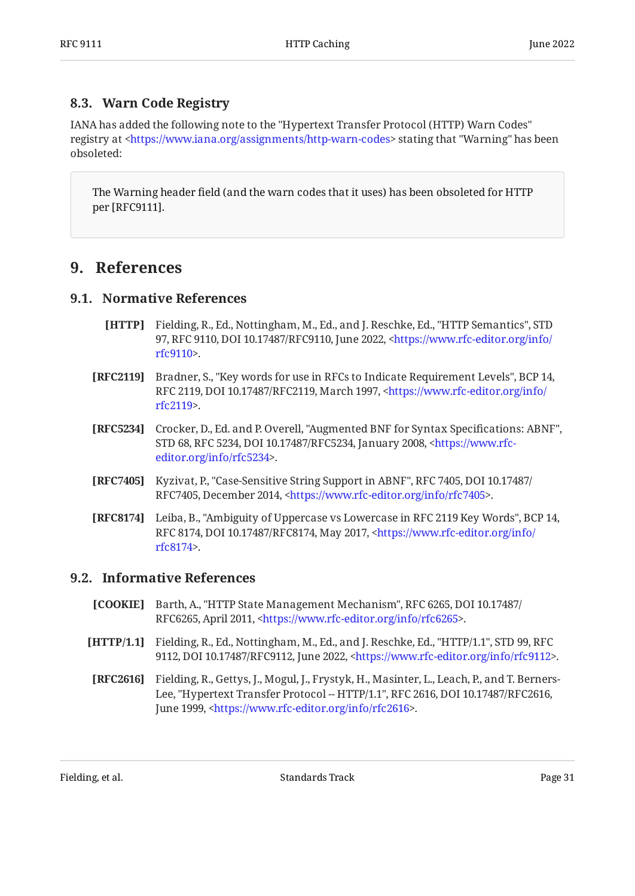# <span id="page-30-0"></span>**[8.3. Warn Code Registry](#page-30-0)**

IANA has added the following note to the "Hypertext Transfer Protocol (HTTP) Warn Codes" registry at <https://www.iana.org/assignments/http-warn-codes> stating that "Warning" has been obsoleted:

The Warning header field (and the warn codes that it uses) has been obsoleted for HTTP per [RFC9111].

# <span id="page-30-2"></span><span id="page-30-1"></span>**[9. References](#page-30-1)**

## <span id="page-30-4"></span>**[9.1. Normative References](#page-30-2)**

- **[HTTP]** Fielding, R., Ed., Nottingham, M., Ed., and J. Reschke, Ed., "HTTP Semantics", STD 97, RFC 9110, DOI 10.17487/RFC9110, June 2022, [<https://www.rfc-editor.org/info/](https://www.rfc-editor.org/info/rfc9110) . [rfc9110](https://www.rfc-editor.org/info/rfc9110)>
- <span id="page-30-5"></span>**[RFC2119]** Bradner, S., "Key words for use in RFCs to Indicate Requirement Levels", BCP 14, RFC 2119, DOI 10.17487/RFC2119, March 1997, [<https://www.rfc-editor.org/info/](https://www.rfc-editor.org/info/rfc2119) . [rfc2119](https://www.rfc-editor.org/info/rfc2119)>
- <span id="page-30-7"></span>**[RFC5234]** Crocker, D., Ed. and P. Overell, "Augmented BNF for Syntax Specifications: ABNF", STD 68, RFC 5234, DOI 10.17487/RFC5234, January 2008, <[https://www.rfc-](https://www.rfc-editor.org/info/rfc5234). [editor.org/info/rfc5234](https://www.rfc-editor.org/info/rfc5234)>
- <span id="page-30-8"></span>**[RFC7405]** Kyzivat, P., "Case-Sensitive String Support in ABNF", RFC 7405, DOI 10.17487/ RFC7405, December 2014, [<https://www.rfc-editor.org/info/rfc7405>](https://www.rfc-editor.org/info/rfc7405).
- <span id="page-30-6"></span>**[RFC8174]** Leiba, B., "Ambiguity of Uppercase vs Lowercase in RFC 2119 Key Words", BCP 14, RFC 8174, DOI 10.17487/RFC8174, May 2017, <[https://www.rfc-editor.org/info/](https://www.rfc-editor.org/info/rfc8174) . [rfc8174](https://www.rfc-editor.org/info/rfc8174)>

# <span id="page-30-3"></span>**[9.2. Informative References](#page-30-3)**

- <span id="page-30-11"></span>**[COOKIE]** Barth, A., "HTTP State Management Mechanism", RFC 6265, DOI 10.17487/ RFC6265, April 2011, [<https://www.rfc-editor.org/info/rfc6265](https://www.rfc-editor.org/info/rfc6265)>.
- <span id="page-30-10"></span>**[HTTP/1.1]** Fielding, R., Ed., Nottingham, M., Ed., and J. Reschke, Ed., "HTTP/1.1", STD 99, RFC 9112, DOI 10.17487/RFC9112, June 2022, [<https://www.rfc-editor.org/info/rfc9112](https://www.rfc-editor.org/info/rfc9112)>.
- <span id="page-30-9"></span>**[RFC2616]** Fielding, R., Gettys, J., Mogul, J., Frystyk, H., Masinter, L., Leach, P., and T. Berners-Lee, "Hypertext Transfer Protocol -- HTTP/1.1", RFC 2616, DOI 10.17487/RFC2616, June 1999, <https://www.rfc-editor.org/info/rfc2616>.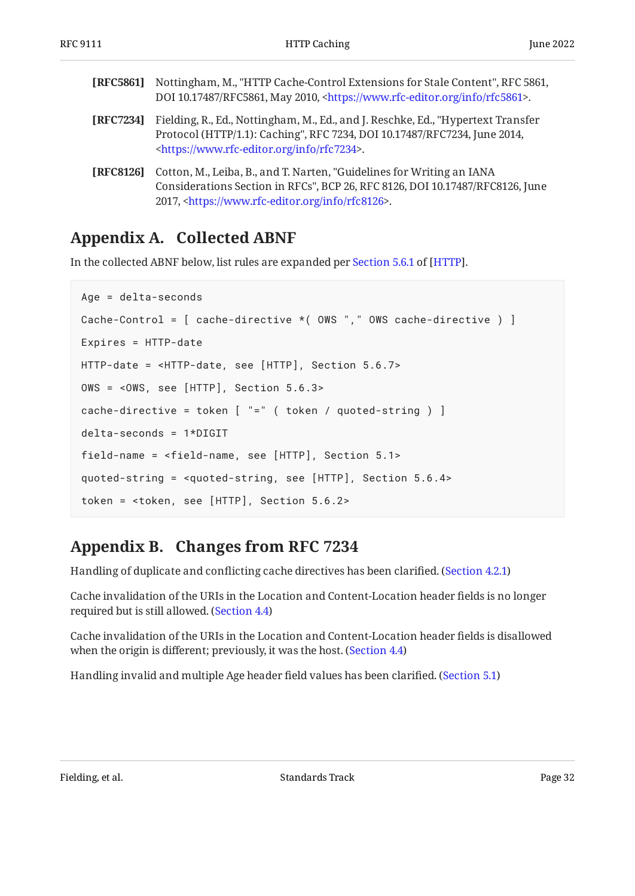<span id="page-31-3"></span><span id="page-31-2"></span>

| [RFC5861]        | Nottingham, M., "HTTP Cache-Control Extensions for Stale Content", RFC 5861,<br>DOI 10.17487/RFC5861, May 2010, <https: info="" rfc5861="" www.rfc-editor.org="">.</https:>                                                  |
|------------------|------------------------------------------------------------------------------------------------------------------------------------------------------------------------------------------------------------------------------|
| [RFC7234]        | Fielding, R., Ed., Nottingham, M., Ed., and J. Reschke, Ed., "Hypertext Transfer<br>Protocol (HTTP/1.1): Caching", RFC 7234, DOI 10.17487/RFC7234, June 2014,<br><https: info="" rfc7234="" www.rfc-editor.org="">.</https:> |
| <b>[RFC8126]</b> | Cotton, M., Leiba, B., and T. Narten, "Guidelines for Writing an IANA<br>Considerations Section in RFCs", BCP 26, RFC 8126, DOI 10.17487/RFC8126, June<br>2017, <https: info="" rfc8126="" www.rfc-editor.org="">.</https:>  |

# <span id="page-31-4"></span><span id="page-31-0"></span>**[Appendix A. Collected ABNF](#page-31-0)**

In the collected ABNF below, list rules are expanded per [Section 5.6.1](https://www.rfc-editor.org/rfc/rfc9110#section-5.6.1) of [\[HTTP](#page-30-4)].

```
Age = delta-seconds
Cache-Control = [ cache-directive *( OWS "," OWS cache-directive ) ]
Expires = HTTP-date
HTTP-date = <HTTP-date, see [HTTP], Section 5.6.7>
OWS = <OWS, see [HTTP], Section 5.6.3>
cache-directive = token [ "=" ( token / quoted-string ) ]
delta-seconds = 1*DIGIT
field-name = <field-name, see [HTTP], Section 5.1>
quoted-string = <quoted-string, see [HTTP], Section 5.6.4>
token = <token, see [HTTP], Section 5.6.2>
```
# <span id="page-31-1"></span>**[Appendix B. Changes from RFC 7234](#page-31-1)**

Handling of duplicate and conflicting cache directives has been clarified. ([Section 4.2.1\)](#page-12-0)

Cache invalidation of the URIs in the Location and Content-Location header fields is no longer required but is still allowed. ([Section 4.4\)](#page-18-0)

Cache invalidation of the URIs in the Location and Content-Location header fields is disallowed when the origin is different; previously, it was the host. ([Section 4.4\)](#page-18-0)

Handling invalid and multiple Age header field values has been clarified. [\(Section 5.1](#page-18-2))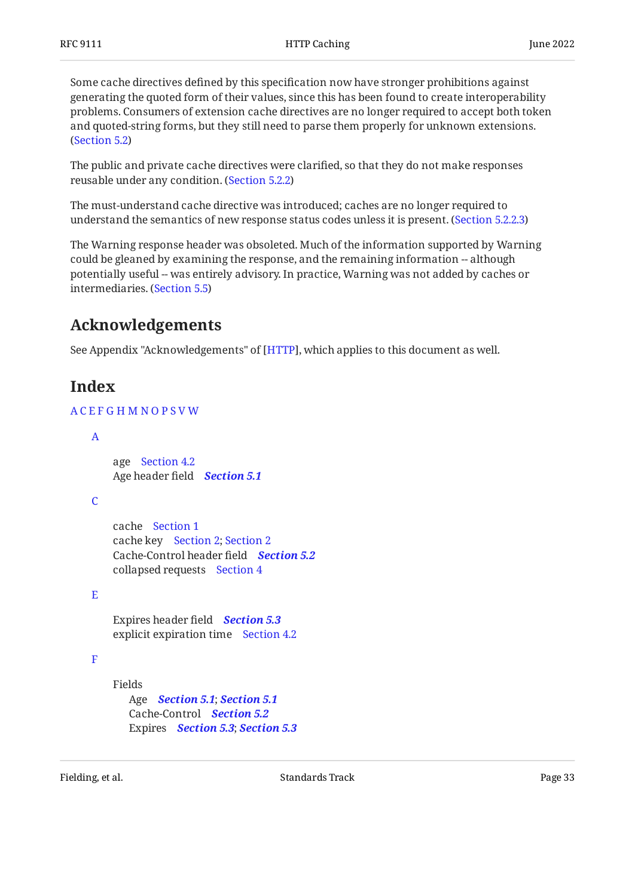Some cache directives defined by this specification now have stronger prohibitions against generating the quoted form of their values, since this has been found to create interoperability problems. Consumers of extension cache directives are no longer required to accept both token and quoted-string forms, but they still need to parse them properly for unknown extensions. ([Section 5.2\)](#page-19-0)

The public and private cache directives were clarified, so that they do not make responses reusable under any condition. [\(Section 5.2.2](#page-21-2))

The must-understand cache directive was introduced; caches are no longer required to understand the semantics of new response status codes unless it is present. ([Section 5.2.2.3\)](#page-22-0)

The Warning response header was obsoleted. Much of the information supported by Warning could be gleaned by examining the response, and the remaining information -- although potentially useful -- was entirely advisory. In practice, Warning was not added by caches or intermediaries. ([Section 5.5\)](#page-26-1)

# <span id="page-32-0"></span>**[Acknowledgements](#page-32-0)**

<span id="page-32-1"></span>See Appendix "Acknowledgements" of [HTTP], which applies to this document as well.

# **[Index](#page-32-1)**

## [A](#page-32-2) [C](#page-32-3) [E](#page-32-4) [F](#page-32-5) [G](#page-33-0) [H](#page-33-1) [M](#page-33-2) [N](#page-33-3) [O](#page-33-4) [P](#page-33-5) [S](#page-34-1) [V](#page-34-2) [W](#page-34-3)

```
age
Section 4.2
    Age header field
Section 5.1
    cache
Section 1
    cache key
Section 2; Section 2
    Cache-Control header field
Section 5.2
    collapsed requests
Section 4
    Expires header field
Section 5.3
    explicit expiration time
Section 4.2
    Fields
       Age
Section 5.1; Section 5.1
       Cache-Control
Section 5.2
       Expires
Section 5.3; Section 5.3
A
C}E
F
```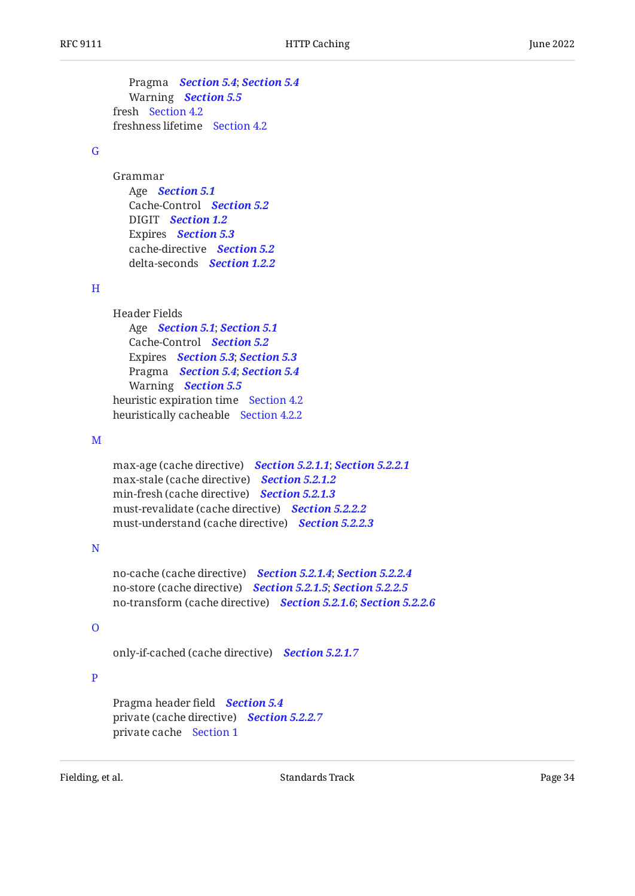Pragma *[Section 5.4](#page-26-0)*; *[Section 5.4](#page-26-0)* Warning *[Section 5.5](#page-26-1)* fresh [Section 4.2](#page-10-1) freshness lifetime [Section 4.2](#page-10-1)

#### <span id="page-33-0"></span>[G](#page-33-0)

Grammar Age *[Section 5.1](#page-18-2)* Cache-Control *[Section 5.2](#page-19-0)* DIGIT *[Section 1.2](#page-4-1)* Expires *[Section 5.3](#page-25-1)* cache-directive *[Section 5.2](#page-19-0)* delta-seconds *[Section 1.2.2](#page-5-0)*

#### <span id="page-33-1"></span>[H](#page-33-1)

Header Fields Age *[Section 5.1](#page-18-2)*; *[Section 5.1](#page-18-2)* Cache-Control *[Section 5.2](#page-19-0)* Expires *[Section 5.3](#page-25-1)*; *[Section 5.3](#page-25-1)* Pragma *[Section 5.4](#page-26-0)*; *[Section 5.4](#page-26-0)* Warning *[Section 5.5](#page-26-1)* heuristic expiration time [Section 4.2](#page-10-1) heuristically cacheable [Section 4.2.2](#page-12-1)

#### <span id="page-33-2"></span>[M](#page-33-2)

max-age (cache directive) *[Section 5.2.1.1](#page-19-2)*; *[Section 5.2.2.1](#page-21-3)* max-stale (cache directive) *[Section 5.2.1.2](#page-20-0)* min-fresh (cache directive) *[Section 5.2.1.3](#page-20-1)* must-revalidate (cache directive) *[Section 5.2.2.2](#page-21-4)* must-understand (cache directive) *[Section 5.2.2.3](#page-22-0)*

### <span id="page-33-3"></span>[N](#page-33-3)

no-cache (cache directive) *[Section 5.2.1.4](#page-20-2)*; *[Section 5.2.2.4](#page-22-1)* no-store (cache directive) *[Section 5.2.1.5](#page-20-3)*; *[Section 5.2.2.5](#page-22-2)* no-transform (cache directive) *[Section 5.2.1.6](#page-21-0)*; *[Section 5.2.2.6](#page-23-0)*

## <span id="page-33-4"></span>[O](#page-33-4)

only-if-cached (cache directive) *[Section 5.2.1.7](#page-21-1)*

### <span id="page-33-5"></span>[P](#page-33-5)

Pragma header field *[Section 5.4](#page-26-0)* private (cache directive) *[Section 5.2.2.7](#page-23-1)* private cache [Section 1](#page-3-0)